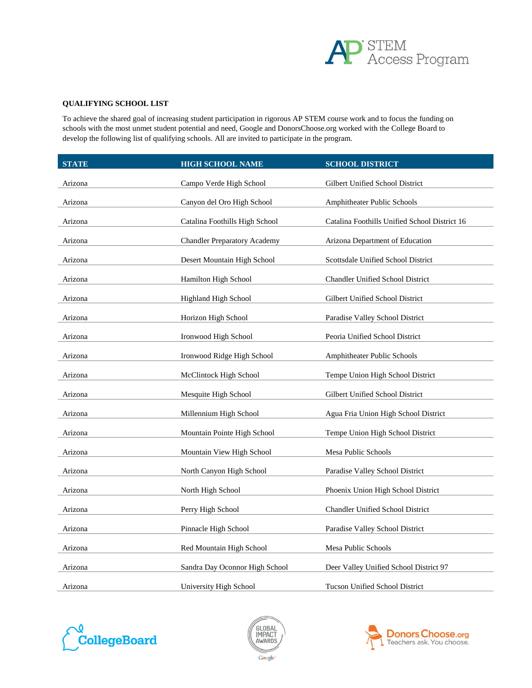

### **QUALIFYING SCHOOL LIST**

To achieve the shared goal of increasing student participation in rigorous AP STEM course work and to focus the funding on schools with the most unmet student potential and need, Google and DonorsChoose.org worked with the College Board to develop the following list of qualifying schools. All are invited to participate in the program.

| <b>STATE</b> | HIGH SCHOOL NAME                    | <b>SCHOOL DISTRICT</b>                        |
|--------------|-------------------------------------|-----------------------------------------------|
| Arizona      | Campo Verde High School             | Gilbert Unified School District               |
| Arizona      | Canyon del Oro High School          | Amphitheater Public Schools                   |
| Arizona      | Catalina Foothills High School      | Catalina Foothills Unified School District 16 |
| Arizona      | <b>Chandler Preparatory Academy</b> | Arizona Department of Education               |
| Arizona      | Desert Mountain High School         | Scottsdale Unified School District            |
| Arizona      | Hamilton High School                | Chandler Unified School District              |
| Arizona      | Highland High School                | Gilbert Unified School District               |
| Arizona      | Horizon High School                 | Paradise Valley School District               |
| Arizona      | Ironwood High School                | Peoria Unified School District                |
| Arizona      | Ironwood Ridge High School          | <b>Amphitheater Public Schools</b>            |
| Arizona      | McClintock High School              | Tempe Union High School District              |
| Arizona      | Mesquite High School                | Gilbert Unified School District               |
| Arizona      | Millennium High School              | Agua Fria Union High School District          |
| Arizona      | Mountain Pointe High School         | Tempe Union High School District              |
| Arizona      | Mountain View High School           | Mesa Public Schools                           |
| Arizona      | North Canyon High School            | Paradise Valley School District               |
| Arizona      | North High School                   | Phoenix Union High School District            |
| Arizona      | Perry High School                   | <b>Chandler Unified School District</b>       |
| Arizona      | Pinnacle High School                | Paradise Valley School District               |
| Arizona      | Red Mountain High School            | Mesa Public Schools                           |
| Arizona      | Sandra Day Oconnor High School      | Deer Valley Unified School District 97        |
| Arizona      | University High School              | <b>Tucson Unified School District</b>         |





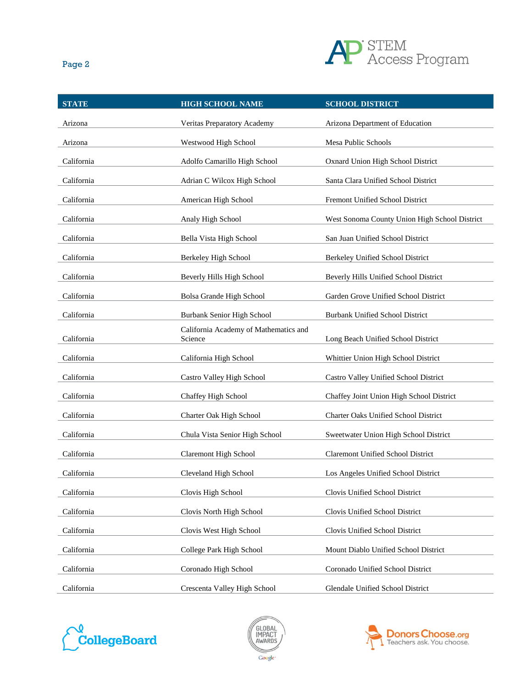

| × |  |
|---|--|
|---|--|

| <b>STATE</b> | <b>HIGH SCHOOL NAME</b>                          | <b>SCHOOL DISTRICT</b>                        |
|--------------|--------------------------------------------------|-----------------------------------------------|
| Arizona      | Veritas Preparatory Academy                      | Arizona Department of Education               |
| Arizona      | Westwood High School                             | Mesa Public Schools                           |
| California   | Adolfo Camarillo High School                     | Oxnard Union High School District             |
| California   | Adrian C Wilcox High School                      | Santa Clara Unified School District           |
| California   | American High School                             | Fremont Unified School District               |
| California   | Analy High School                                | West Sonoma County Union High School District |
| California   | Bella Vista High School                          | San Juan Unified School District              |
| California   | Berkeley High School                             | Berkeley Unified School District              |
| California   | Beverly Hills High School                        | Beverly Hills Unified School District         |
| California   | Bolsa Grande High School                         | Garden Grove Unified School District          |
| California   | Burbank Senior High School                       | <b>Burbank Unified School District</b>        |
| California   | California Academy of Mathematics and<br>Science | Long Beach Unified School District            |
| California   | California High School                           | Whittier Union High School District           |
| California   | Castro Valley High School                        | Castro Valley Unified School District         |
| California   | Chaffey High School                              | Chaffey Joint Union High School District      |
| California   | Charter Oak High School                          | Charter Oaks Unified School District          |
| California   | Chula Vista Senior High School                   | Sweetwater Union High School District         |
| California   | <b>Claremont High School</b>                     | <b>Claremont Unified School District</b>      |
| California   | Cleveland High School                            | Los Angeles Unified School District           |
| California   | Clovis High School                               | Clovis Unified School District                |
| California   | Clovis North High School                         | Clovis Unified School District                |
| California   | Clovis West High School                          | Clovis Unified School District                |
| California   | College Park High School                         | Mount Diablo Unified School District          |
| California   | Coronado High School                             | Coronado Unified School District              |
| California   | Crescenta Valley High School                     | Glendale Unified School District              |





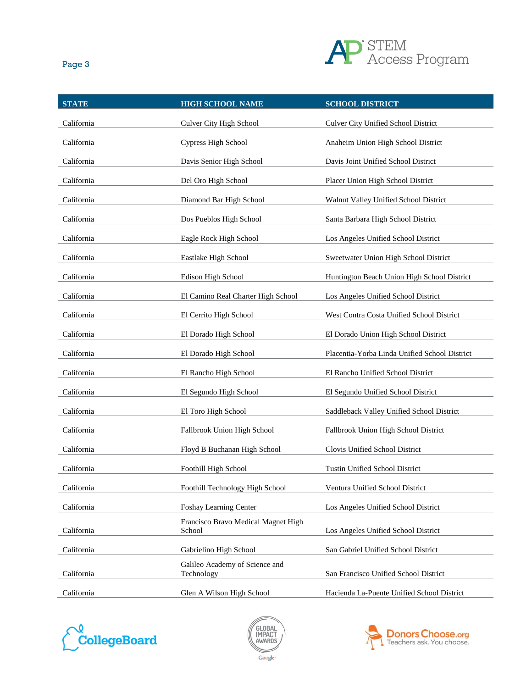

| ×<br>ł | ٠ |
|--------|---|
|--------|---|

| <b>STATE</b> | <b>HIGH SCHOOL NAME</b>                       | <b>SCHOOL DISTRICT</b>                        |
|--------------|-----------------------------------------------|-----------------------------------------------|
| California   | Culver City High School                       | Culver City Unified School District           |
| California   | Cypress High School                           | Anaheim Union High School District            |
| California   | Davis Senior High School                      | Davis Joint Unified School District           |
| California   | Del Oro High School                           | Placer Union High School District             |
| California   | Diamond Bar High School                       | Walnut Valley Unified School District         |
| California   | Dos Pueblos High School                       | Santa Barbara High School District            |
| California   | Eagle Rock High School                        | Los Angeles Unified School District           |
| California   | Eastlake High School                          | Sweetwater Union High School District         |
| California   | Edison High School                            | Huntington Beach Union High School District   |
| California   | El Camino Real Charter High School            | Los Angeles Unified School District           |
| California   | El Cerrito High School                        | West Contra Costa Unified School District     |
| California   | El Dorado High School                         | El Dorado Union High School District          |
| California   | El Dorado High School                         | Placentia-Yorba Linda Unified School District |
| California   | El Rancho High School                         | El Rancho Unified School District             |
| California   | El Segundo High School                        | El Segundo Unified School District            |
| California   | El Toro High School                           | Saddleback Valley Unified School District     |
| California   | Fallbrook Union High School                   | Fallbrook Union High School District          |
| California   | Floyd B Buchanan High School                  | Clovis Unified School District                |
| California   | Foothill High School                          | <b>Tustin Unified School District</b>         |
| California   | Foothill Technology High School               | Ventura Unified School District               |
| California   | Foshay Learning Center                        | Los Angeles Unified School District           |
| California   | Francisco Bravo Medical Magnet High<br>School | Los Angeles Unified School District           |
| California   | Gabrielino High School                        | San Gabriel Unified School District           |
| California   | Galileo Academy of Science and<br>Technology  | San Francisco Unified School District         |
| California   | Glen A Wilson High School                     | Hacienda La-Puente Unified School District    |





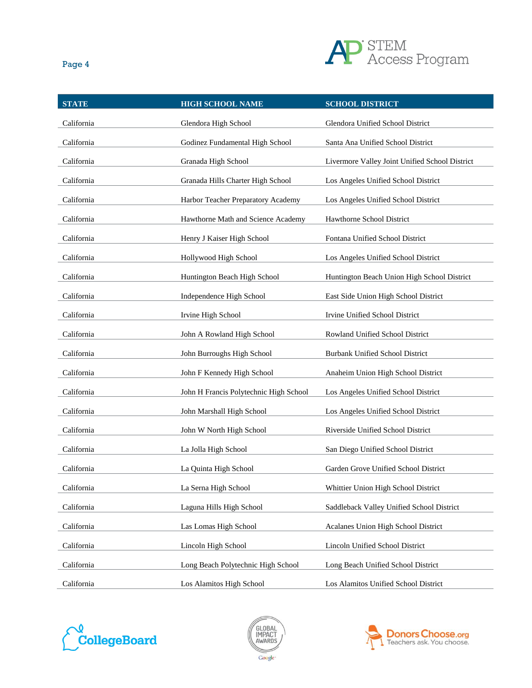

| ×<br>ł |  |
|--------|--|
|--------|--|

| <b>STATE</b> | <b>HIGH SCHOOL NAME</b>                | <b>SCHOOL DISTRICT</b>                         |
|--------------|----------------------------------------|------------------------------------------------|
| California   | Glendora High School                   | Glendora Unified School District               |
| California   | Godinez Fundamental High School        | Santa Ana Unified School District              |
| California   | Granada High School                    | Livermore Valley Joint Unified School District |
| California   | Granada Hills Charter High School      | Los Angeles Unified School District            |
| California   | Harbor Teacher Preparatory Academy     | Los Angeles Unified School District            |
| California   | Hawthorne Math and Science Academy     | Hawthorne School District                      |
| California   | Henry J Kaiser High School             | Fontana Unified School District                |
| California   | Hollywood High School                  | Los Angeles Unified School District            |
| California   | Huntington Beach High School           | Huntington Beach Union High School District    |
| California   | Independence High School               | East Side Union High School District           |
| California   | Irvine High School                     | Irvine Unified School District                 |
| California   | John A Rowland High School             | Rowland Unified School District                |
| California   | John Burroughs High School             | Burbank Unified School District                |
| California   | John F Kennedy High School             | Anaheim Union High School District             |
| California   | John H Francis Polytechnic High School | Los Angeles Unified School District            |
| California   | John Marshall High School              | Los Angeles Unified School District            |
| California   | John W North High School               | Riverside Unified School District              |
| California   | La Jolla High School                   | San Diego Unified School District              |
| California   | La Quinta High School                  | Garden Grove Unified School District           |
| California   | La Serna High School                   | Whittier Union High School District            |
| California   | Laguna Hills High School               | Saddleback Valley Unified School District      |
| California   | Las Lomas High School                  | <b>Acalanes Union High School District</b>     |
| California   | Lincoln High School                    | Lincoln Unified School District                |
| California   | Long Beach Polytechnic High School     | Long Beach Unified School District             |
| California   | Los Alamitos High School               | Los Alamitos Unified School District           |





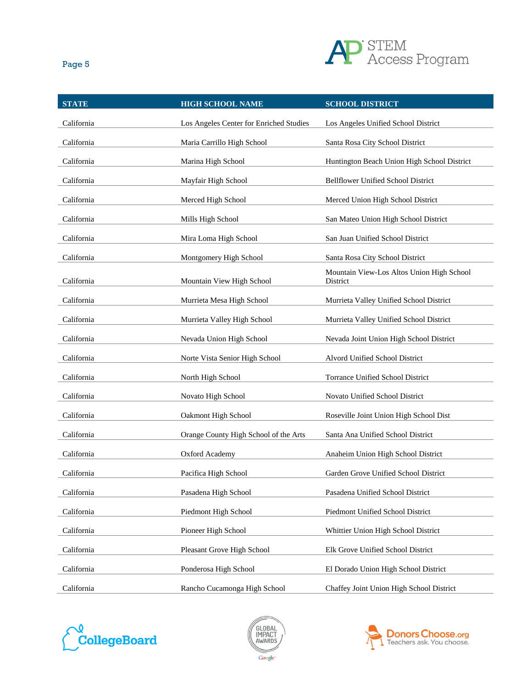

| × | ۰. | ×<br>۰. |
|---|----|---------|
|   |    |         |

| <b>STATE</b> | <b>HIGH SCHOOL NAME</b>                 | <b>SCHOOL DISTRICT</b>                                |
|--------------|-----------------------------------------|-------------------------------------------------------|
| California   | Los Angeles Center for Enriched Studies | Los Angeles Unified School District                   |
| California   | Maria Carrillo High School              | Santa Rosa City School District                       |
| California   | Marina High School                      | Huntington Beach Union High School District           |
| California   | Mayfair High School                     | <b>Bellflower Unified School District</b>             |
| California   | Merced High School                      | Merced Union High School District                     |
| California   | Mills High School                       | San Mateo Union High School District                  |
| California   | Mira Loma High School                   | San Juan Unified School District                      |
| California   | Montgomery High School                  | Santa Rosa City School District                       |
| California   | Mountain View High School               | Mountain View-Los Altos Union High School<br>District |
| California   | Murrieta Mesa High School               | Murrieta Valley Unified School District               |
| California   | Murrieta Valley High School             | Murrieta Valley Unified School District               |
| California   | Nevada Union High School                | Nevada Joint Union High School District               |
| California   | Norte Vista Senior High School          | Alvord Unified School District                        |
| California   | North High School                       | Torrance Unified School District                      |
| California   | Novato High School                      | Novato Unified School District                        |
| California   | Oakmont High School                     | Roseville Joint Union High School Dist                |
| California   | Orange County High School of the Arts   | Santa Ana Unified School District                     |
| California   | Oxford Academy                          | Anaheim Union High School District                    |
| California   | Pacifica High School                    | Garden Grove Unified School District                  |
| California   | Pasadena High School                    | Pasadena Unified School District                      |
| California   | Piedmont High School                    | Piedmont Unified School District                      |
| California   | Pioneer High School                     | Whittier Union High School District                   |
| California   | Pleasant Grove High School              | Elk Grove Unified School District                     |
| California   | Ponderosa High School                   | El Dorado Union High School District                  |
| California   | Rancho Cucamonga High School            | Chaffey Joint Union High School District              |





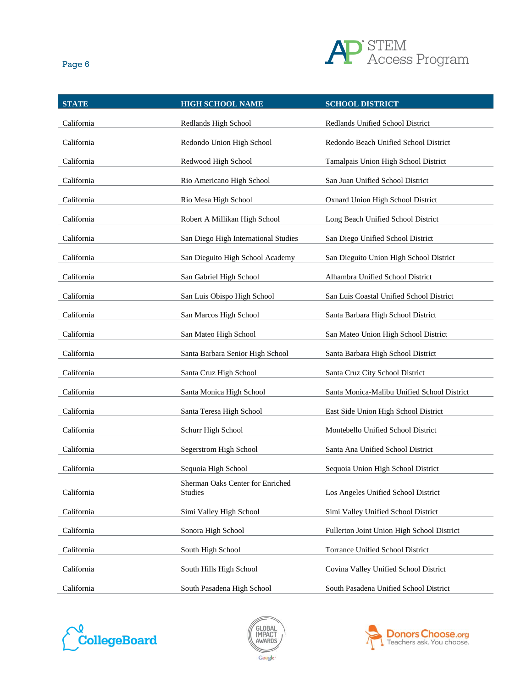

| ×<br>ł<br>I |
|-------------|
|-------------|

| <b>STATE</b> | <b>HIGH SCHOOL NAME</b>                            | <b>SCHOOL DISTRICT</b>                      |
|--------------|----------------------------------------------------|---------------------------------------------|
| California   | Redlands High School                               | Redlands Unified School District            |
| California   | Redondo Union High School                          | Redondo Beach Unified School District       |
| California   | Redwood High School                                | Tamalpais Union High School District        |
| California   | Rio Americano High School                          | San Juan Unified School District            |
| California   | Rio Mesa High School                               | Oxnard Union High School District           |
| California   | Robert A Millikan High School                      | Long Beach Unified School District          |
| California   | San Diego High International Studies               | San Diego Unified School District           |
| California   | San Dieguito High School Academy                   | San Dieguito Union High School District     |
| California   | San Gabriel High School                            | Alhambra Unified School District            |
| California   | San Luis Obispo High School                        | San Luis Coastal Unified School District    |
| California   | San Marcos High School                             | Santa Barbara High School District          |
| California   | San Mateo High School                              | San Mateo Union High School District        |
| California   | Santa Barbara Senior High School                   | Santa Barbara High School District          |
| California   | Santa Cruz High School                             | Santa Cruz City School District             |
| California   | Santa Monica High School                           | Santa Monica-Malibu Unified School District |
| California   | Santa Teresa High School                           | East Side Union High School District        |
| California   | Schurr High School                                 | Montebello Unified School District          |
| California   | Segerstrom High School                             | Santa Ana Unified School District           |
| California   | Sequoia High School                                | Sequoia Union High School District          |
| California   | Sherman Oaks Center for Enriched<br><b>Studies</b> | Los Angeles Unified School District         |
| California   | Simi Valley High School                            | Simi Valley Unified School District         |
| California   | Sonora High School                                 | Fullerton Joint Union High School District  |
| California   | South High School                                  | Torrance Unified School District            |
| California   | South Hills High School                            | Covina Valley Unified School District       |
| California   | South Pasadena High School                         | South Pasadena Unified School District      |





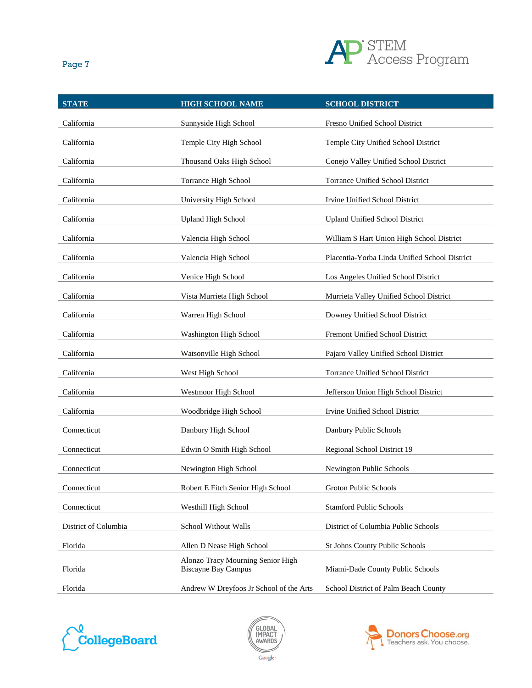

| ۰.<br>×<br>× |  |
|--------------|--|
|--------------|--|

| <b>STATE</b>         | <b>HIGH SCHOOL NAME</b>                                         | <b>SCHOOL DISTRICT</b>                        |
|----------------------|-----------------------------------------------------------------|-----------------------------------------------|
| California           | Sunnyside High School                                           | Fresno Unified School District                |
| California           | Temple City High School                                         | Temple City Unified School District           |
| California           | Thousand Oaks High School                                       | Conejo Valley Unified School District         |
| California           | Torrance High School                                            | <b>Torrance Unified School District</b>       |
| California           | University High School                                          | Irvine Unified School District                |
| California           | <b>Upland High School</b>                                       | <b>Upland Unified School District</b>         |
| California           | Valencia High School                                            | William S Hart Union High School District     |
| California           | Valencia High School                                            | Placentia-Yorba Linda Unified School District |
| California           | Venice High School                                              | Los Angeles Unified School District           |
| California           | Vista Murrieta High School                                      | Murrieta Valley Unified School District       |
| California           | Warren High School                                              | Downey Unified School District                |
| California           | Washington High School                                          | Fremont Unified School District               |
| California           | Watsonville High School                                         | Pajaro Valley Unified School District         |
| California           | West High School                                                | <b>Torrance Unified School District</b>       |
| California           | Westmoor High School                                            | Jefferson Union High School District          |
| California           | Woodbridge High School                                          | Irvine Unified School District                |
| Connecticut          | Danbury High School                                             | Danbury Public Schools                        |
| Connecticut          | Edwin O Smith High School                                       | Regional School District 19                   |
| Connecticut          | Newington High School                                           | Newington Public Schools                      |
| Connecticut          | Robert E Fitch Senior High School                               | Groton Public Schools                         |
| Connecticut          | Westhill High School                                            | <b>Stamford Public Schools</b>                |
| District of Columbia | School Without Walls                                            | District of Columbia Public Schools           |
| Florida              | Allen D Nease High School                                       | St Johns County Public Schools                |
| Florida              | Alonzo Tracy Mourning Senior High<br><b>Biscayne Bay Campus</b> | Miami-Dade County Public Schools              |
| Florida              | Andrew W Dreyfoos Jr School of the Arts                         | School District of Palm Beach County          |





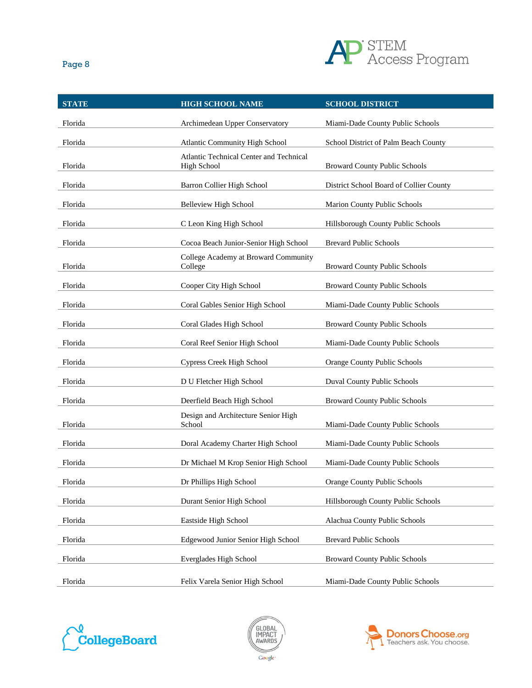

| <b>STATE</b> | <b>HIGH SCHOOL NAME</b>                                       | <b>SCHOOL DISTRICT</b>                  |
|--------------|---------------------------------------------------------------|-----------------------------------------|
| Florida      | Archimedean Upper Conservatory                                | Miami-Dade County Public Schools        |
| Florida      | Atlantic Community High School                                | School District of Palm Beach County    |
| Florida      | Atlantic Technical Center and Technical<br><b>High School</b> | <b>Broward County Public Schools</b>    |
| Florida      | Barron Collier High School                                    | District School Board of Collier County |
| Florida      | <b>Belleview High School</b>                                  | Marion County Public Schools            |
| Florida      | C Leon King High School                                       | Hillsborough County Public Schools      |
| Florida      | Cocoa Beach Junior-Senior High School                         | <b>Brevard Public Schools</b>           |
| Florida      | College Academy at Broward Community<br>College               | <b>Broward County Public Schools</b>    |
| Florida      | Cooper City High School                                       | <b>Broward County Public Schools</b>    |
| Florida      | Coral Gables Senior High School                               | Miami-Dade County Public Schools        |
| Florida      | Coral Glades High School                                      | <b>Broward County Public Schools</b>    |
| Florida      | Coral Reef Senior High School                                 | Miami-Dade County Public Schools        |
| Florida      | Cypress Creek High School                                     | Orange County Public Schools            |
| Florida      | D U Fletcher High School                                      | Duval County Public Schools             |
| Florida      | Deerfield Beach High School                                   | <b>Broward County Public Schools</b>    |
| Florida      | Design and Architecture Senior High<br>School                 | Miami-Dade County Public Schools        |
| Florida      | Doral Academy Charter High School                             | Miami-Dade County Public Schools        |
| Florida      | Dr Michael M Krop Senior High School                          | Miami-Dade County Public Schools        |
| Florida      | Dr Phillips High School                                       | Orange County Public Schools            |
| Florida      | Durant Senior High School                                     | Hillsborough County Public Schools      |
| Florida      | Eastside High School                                          | Alachua County Public Schools           |
| Florida      | Edgewood Junior Senior High School                            | <b>Brevard Public Schools</b>           |
| Florida      | Everglades High School                                        | <b>Broward County Public Schools</b>    |
| Florida      | Felix Varela Senior High School                               | Miami-Dade County Public Schools        |





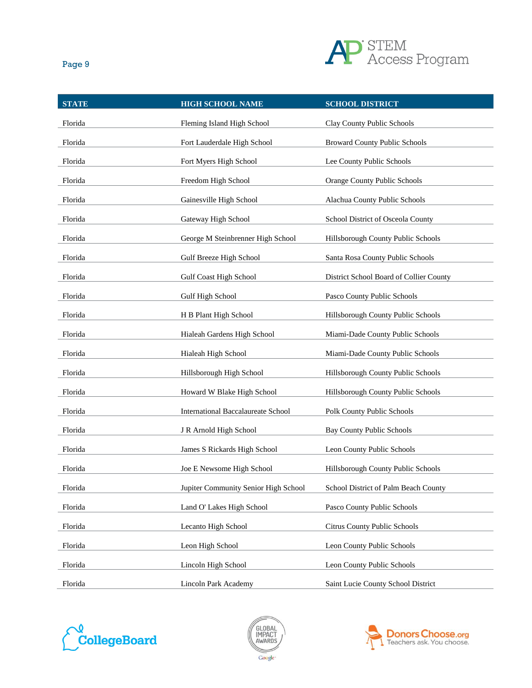

| ×<br>ł | ٠ |
|--------|---|
|        |   |

| <b>STATE</b> | <b>HIGH SCHOOL NAME</b>              | <b>SCHOOL DISTRICT</b>                  |
|--------------|--------------------------------------|-----------------------------------------|
| Florida      | Fleming Island High School           | Clay County Public Schools              |
| Florida      | Fort Lauderdale High School          | <b>Broward County Public Schools</b>    |
| Florida      | Fort Myers High School               | Lee County Public Schools               |
| Florida      | Freedom High School                  | Orange County Public Schools            |
| Florida      | Gainesville High School              | Alachua County Public Schools           |
| Florida      | Gateway High School                  | School District of Osceola County       |
| Florida      | George M Steinbrenner High School    | Hillsborough County Public Schools      |
| Florida      | Gulf Breeze High School              | Santa Rosa County Public Schools        |
| Florida      | <b>Gulf Coast High School</b>        | District School Board of Collier County |
| Florida      | Gulf High School                     | Pasco County Public Schools             |
| Florida      | H B Plant High School                | Hillsborough County Public Schools      |
| Florida      | Hialeah Gardens High School          | Miami-Dade County Public Schools        |
| Florida      | Hialeah High School                  | Miami-Dade County Public Schools        |
| Florida      | Hillsborough High School             | Hillsborough County Public Schools      |
| Florida      | Howard W Blake High School           | Hillsborough County Public Schools      |
| Florida      | International Baccalaureate School   | Polk County Public Schools              |
| Florida      | J R Arnold High School               | <b>Bay County Public Schools</b>        |
| Florida      | James S Rickards High School         | Leon County Public Schools              |
| Florida      | Joe E Newsome High School            | Hillsborough County Public Schools      |
| Florida      | Jupiter Community Senior High School | School District of Palm Beach County    |
| Florida      | Land O' Lakes High School            | Pasco County Public Schools             |
| Florida      | Lecanto High School                  | Citrus County Public Schools            |
| Florida      | Leon High School                     | Leon County Public Schools              |
| Florida      | Lincoln High School                  | Leon County Public Schools              |
| Florida      | Lincoln Park Academy                 | Saint Lucie County School District      |





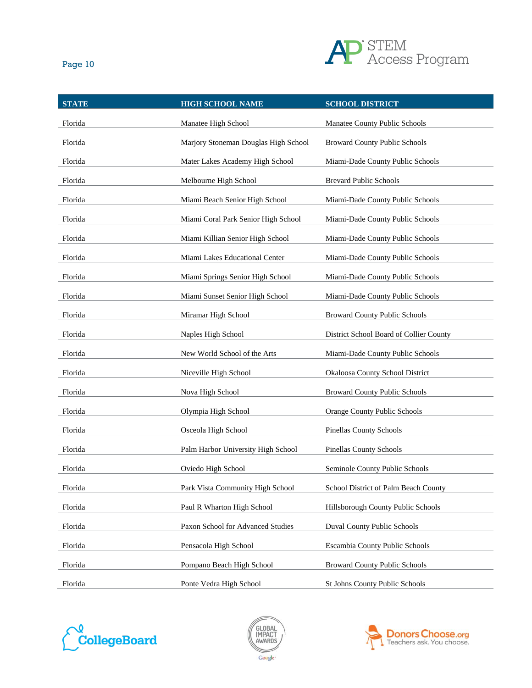

| × | ٠ |  |
|---|---|--|

| <b>STATE</b> | <b>HIGH SCHOOL NAME</b>              | <b>SCHOOL DISTRICT</b>                  |
|--------------|--------------------------------------|-----------------------------------------|
| Florida      | Manatee High School                  | Manatee County Public Schools           |
| Florida      | Marjory Stoneman Douglas High School | <b>Broward County Public Schools</b>    |
| Florida      | Mater Lakes Academy High School      | Miami-Dade County Public Schools        |
| Florida      | Melbourne High School                | <b>Brevard Public Schools</b>           |
| Florida      | Miami Beach Senior High School       | Miami-Dade County Public Schools        |
| Florida      | Miami Coral Park Senior High School  | Miami-Dade County Public Schools        |
| Florida      | Miami Killian Senior High School     | Miami-Dade County Public Schools        |
| Florida      | Miami Lakes Educational Center       | Miami-Dade County Public Schools        |
| Florida      | Miami Springs Senior High School     | Miami-Dade County Public Schools        |
| Florida      | Miami Sunset Senior High School      | Miami-Dade County Public Schools        |
| Florida      | Miramar High School                  | <b>Broward County Public Schools</b>    |
| Florida      | Naples High School                   | District School Board of Collier County |
| Florida      | New World School of the Arts         | Miami-Dade County Public Schools        |
| Florida      | Niceville High School                | Okaloosa County School District         |
| Florida      | Nova High School                     | <b>Broward County Public Schools</b>    |
| Florida      | Olympia High School                  | Orange County Public Schools            |
| Florida      | Osceola High School                  | <b>Pinellas County Schools</b>          |
| Florida      | Palm Harbor University High School   | Pinellas County Schools                 |
| Florida      | Oviedo High School                   | Seminole County Public Schools          |
| Florida      | Park Vista Community High School     | School District of Palm Beach County    |
| Florida      | Paul R Wharton High School           | Hillsborough County Public Schools      |
| Florida      | Paxon School for Advanced Studies    | <b>Duval County Public Schools</b>      |
| Florida      | Pensacola High School                | Escambia County Public Schools          |
| Florida      | Pompano Beach High School            | <b>Broward County Public Schools</b>    |
| Florida      | Ponte Vedra High School              | St Johns County Public Schools          |





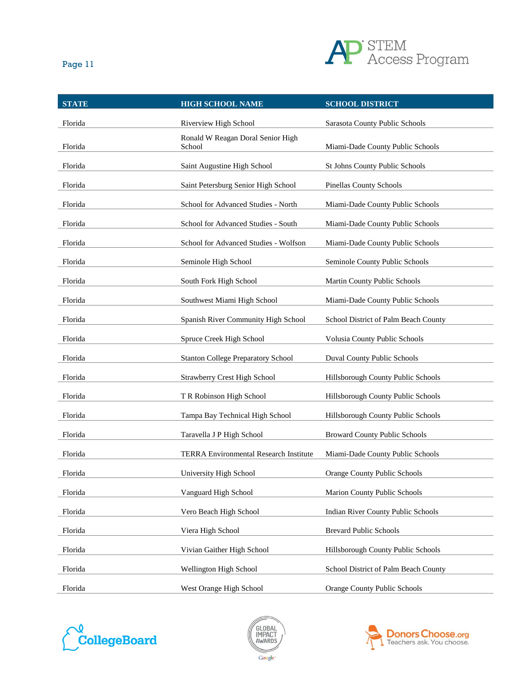

| Page 11      |                                             | ハししけ                   |
|--------------|---------------------------------------------|------------------------|
| <b>STATE</b> | <b>HIGH SCHOOL NAME</b>                     | <b>SCHOOL DISTRICT</b> |
| Florida      | Riverview High School                       | Sarasota County Public |
| Florida      | Ronald W Reagan Doral Senior High<br>School | Miami-Dade County Pu   |
|              |                                             |                        |

| Florida | Riverview High School                         | Sarasota County Public Schools            |
|---------|-----------------------------------------------|-------------------------------------------|
| Florida | Ronald W Reagan Doral Senior High<br>School   | Miami-Dade County Public Schools          |
| Florida | Saint Augustine High School                   | St Johns County Public Schools            |
| Florida | Saint Petersburg Senior High School           | <b>Pinellas County Schools</b>            |
| Florida | School for Advanced Studies - North           | Miami-Dade County Public Schools          |
| Florida | School for Advanced Studies - South           | Miami-Dade County Public Schools          |
| Florida | School for Advanced Studies - Wolfson         | Miami-Dade County Public Schools          |
| Florida | Seminole High School                          | Seminole County Public Schools            |
| Florida | South Fork High School                        | Martin County Public Schools              |
| Florida | Southwest Miami High School                   | Miami-Dade County Public Schools          |
| Florida | Spanish River Community High School           | School District of Palm Beach County      |
| Florida | Spruce Creek High School                      | Volusia County Public Schools             |
| Florida | <b>Stanton College Preparatory School</b>     | <b>Duval County Public Schools</b>        |
| Florida | <b>Strawberry Crest High School</b>           | Hillsborough County Public Schools        |
| Florida | T R Robinson High School                      | Hillsborough County Public Schools        |
| Florida | Tampa Bay Technical High School               | Hillsborough County Public Schools        |
| Florida | Taravella J P High School                     | <b>Broward County Public Schools</b>      |
| Florida | <b>TERRA Environmental Research Institute</b> | Miami-Dade County Public Schools          |
| Florida | University High School                        | <b>Orange County Public Schools</b>       |
| Florida | Vanguard High School                          | Marion County Public Schools              |
| Florida | Vero Beach High School                        | <b>Indian River County Public Schools</b> |
| Florida | Viera High School                             | <b>Brevard Public Schools</b>             |
| Florida | Vivian Gaither High School                    | Hillsborough County Public Schools        |
| Florida | Wellington High School                        | School District of Palm Beach County      |
| Florida | West Orange High School                       | Orange County Public Schools              |





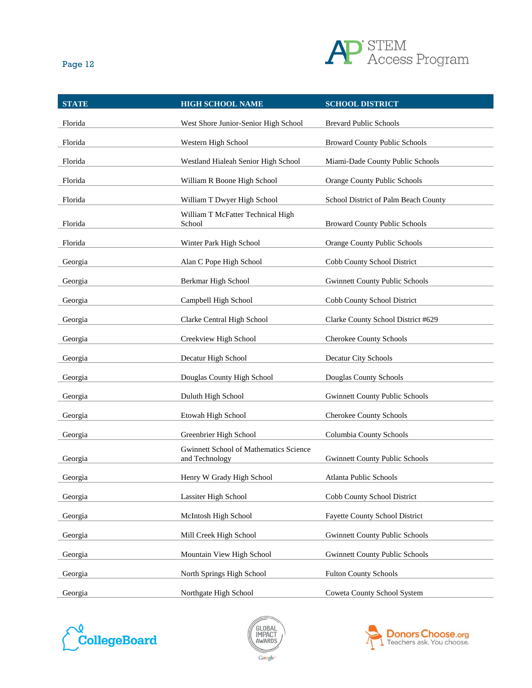

| ۰.<br>× |  |
|---------|--|
|         |  |

| <b>STATE</b> | <b>HIGH SCHOOL NAME</b>                                  | <b>SCHOOL DISTRICT</b>                |
|--------------|----------------------------------------------------------|---------------------------------------|
| Florida      | West Shore Junior-Senior High School                     | <b>Brevard Public Schools</b>         |
| Florida      | Western High School                                      | <b>Broward County Public Schools</b>  |
| Florida      | Westland Hialeah Senior High School                      | Miami-Dade County Public Schools      |
| Florida      | William R Boone High School                              | Orange County Public Schools          |
| Florida      | William T Dwyer High School                              | School District of Palm Beach County  |
| Florida      | William T McFatter Technical High<br>School              | <b>Broward County Public Schools</b>  |
| Florida      | Winter Park High School                                  | Orange County Public Schools          |
| Georgia      | Alan C Pope High School                                  | Cobb County School District           |
| Georgia      | Berkmar High School                                      | <b>Gwinnett County Public Schools</b> |
| Georgia      | Campbell High School                                     | Cobb County School District           |
| Georgia      | Clarke Central High School                               | Clarke County School District #629    |
| Georgia      | Creekview High School                                    | Cherokee County Schools               |
| Georgia      | Decatur High School                                      | Decatur City Schools                  |
| Georgia      | Douglas County High School                               | Douglas County Schools                |
| Georgia      | Duluth High School                                       | <b>Gwinnett County Public Schools</b> |
| Georgia      | Etowah High School                                       | <b>Cherokee County Schools</b>        |
| Georgia      | Greenbrier High School                                   | Columbia County Schools               |
| Georgia      | Gwinnett School of Mathematics Science<br>and Technology | <b>Gwinnett County Public Schools</b> |
| Georgia      | Henry W Grady High School                                | <b>Atlanta Public Schools</b>         |
| Georgia      | Lassiter High School                                     | Cobb County School District           |
| Georgia      | McIntosh High School                                     | <b>Fayette County School District</b> |
| Georgia      | Mill Creek High School                                   | <b>Gwinnett County Public Schools</b> |
| Georgia      | Mountain View High School                                | <b>Gwinnett County Public Schools</b> |
| Georgia      | North Springs High School                                | <b>Fulton County Schools</b>          |
| Georgia      | Northgate High School                                    | Coweta County School System           |





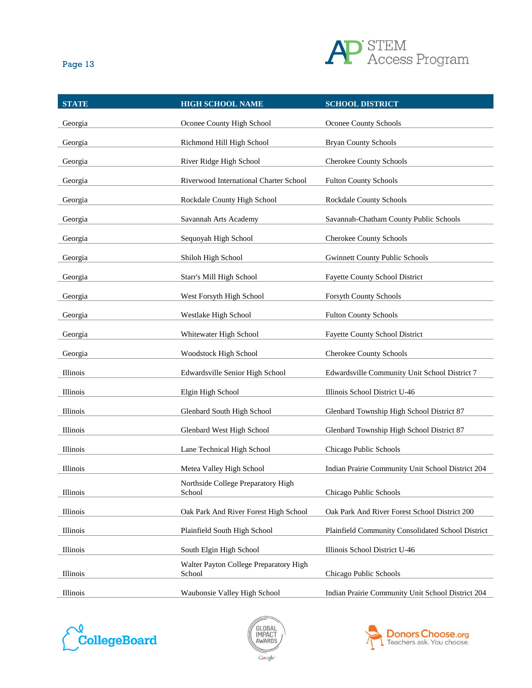

| ۰,<br>×<br>×<br>٠ |  |  |
|-------------------|--|--|
|-------------------|--|--|

| <b>STATE</b> | <b>HIGH SCHOOL NAME</b>                          | <b>SCHOOL DISTRICT</b>                            |
|--------------|--------------------------------------------------|---------------------------------------------------|
| Georgia      | Oconee County High School                        | Oconee County Schools                             |
| Georgia      | Richmond Hill High School                        | <b>Bryan County Schools</b>                       |
| Georgia      | River Ridge High School                          | <b>Cherokee County Schools</b>                    |
| Georgia      | Riverwood International Charter School           | <b>Fulton County Schools</b>                      |
| Georgia      | Rockdale County High School                      | Rockdale County Schools                           |
| Georgia      | Savannah Arts Academy                            | Savannah-Chatham County Public Schools            |
| Georgia      | Sequoyah High School                             | Cherokee County Schools                           |
| Georgia      | Shiloh High School                               | <b>Gwinnett County Public Schools</b>             |
| Georgia      | Starr's Mill High School                         | <b>Fayette County School District</b>             |
| Georgia      | West Forsyth High School                         | Forsyth County Schools                            |
| Georgia      | Westlake High School                             | <b>Fulton County Schools</b>                      |
| Georgia      | Whitewater High School                           | <b>Fayette County School District</b>             |
| Georgia      | Woodstock High School                            | Cherokee County Schools                           |
| Illinois     | Edwardsville Senior High School                  | Edwardsville Community Unit School District 7     |
| Illinois     | Elgin High School                                | Illinois School District U-46                     |
| Illinois     | Glenbard South High School                       | Glenbard Township High School District 87         |
| Illinois     | Glenbard West High School                        | Glenbard Township High School District 87         |
| Illinois     | Lane Technical High School                       | Chicago Public Schools                            |
| Illinois     | Metea Valley High School                         | Indian Prairie Community Unit School District 204 |
| Illinois     | Northside College Preparatory High<br>School     | Chicago Public Schools                            |
| Illinois     | Oak Park And River Forest High School            | Oak Park And River Forest School District 200     |
| Illinois     | Plainfield South High School                     | Plainfield Community Consolidated School District |
| Illinois     | South Elgin High School                          | Illinois School District U-46                     |
| Illinois     | Walter Payton College Preparatory High<br>School | Chicago Public Schools                            |
| Illinois     | Waubonsie Valley High School                     | Indian Prairie Community Unit School District 204 |





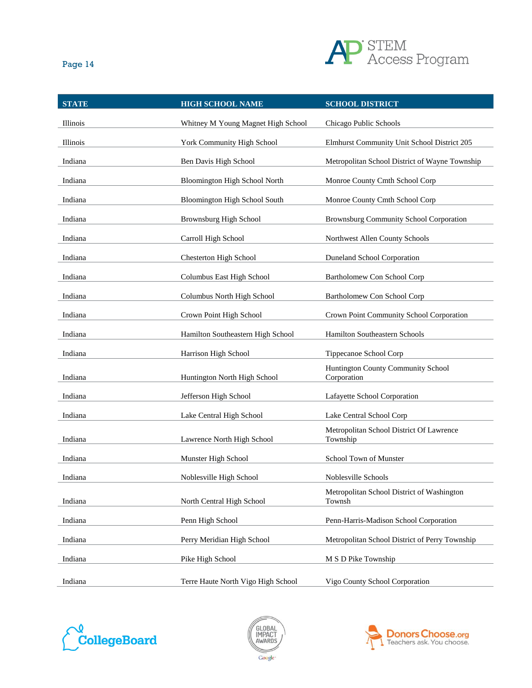

| ×<br>۰. |
|---------|
|---------|

| <b>STATE</b> | <b>HIGH SCHOOL NAME</b>            | <b>SCHOOL DISTRICT</b>                               |
|--------------|------------------------------------|------------------------------------------------------|
| Illinois     | Whitney M Young Magnet High School | Chicago Public Schools                               |
| Illinois     | York Community High School         | Elmhurst Community Unit School District 205          |
| Indiana      | Ben Davis High School              | Metropolitan School District of Wayne Township       |
| Indiana      | Bloomington High School North      | Monroe County Cmth School Corp                       |
| Indiana      | Bloomington High School South      | Monroe County Cmth School Corp                       |
| Indiana      | <b>Brownsburg High School</b>      | Brownsburg Community School Corporation              |
| Indiana      | Carroll High School                | Northwest Allen County Schools                       |
| Indiana      | <b>Chesterton High School</b>      | <b>Duneland School Corporation</b>                   |
| Indiana      | Columbus East High School          | Bartholomew Con School Corp                          |
| Indiana      | Columbus North High School         | Bartholomew Con School Corp                          |
| Indiana      | Crown Point High School            | Crown Point Community School Corporation             |
| Indiana      | Hamilton Southeastern High School  | Hamilton Southeastern Schools                        |
| Indiana      | Harrison High School               | Tippecanoe School Corp                               |
| Indiana      | Huntington North High School       | Huntington County Community School<br>Corporation    |
| Indiana      | Jefferson High School              | Lafayette School Corporation                         |
| Indiana      | Lake Central High School           | Lake Central School Corp                             |
|              |                                    | Metropolitan School District Of Lawrence             |
| Indiana      | Lawrence North High School         | Township                                             |
| Indiana      | Munster High School                | School Town of Munster                               |
| Indiana      | Noblesville High School            | Noblesville Schools                                  |
| Indiana      | North Central High School          | Metropolitan School District of Washington<br>Townsh |
| Indiana      | Penn High School                   | Penn-Harris-Madison School Corporation               |
| Indiana      | Perry Meridian High School         | Metropolitan School District of Perry Township       |
| Indiana      | Pike High School                   | M S D Pike Township                                  |
| Indiana      | Terre Haute North Vigo High School | Vigo County School Corporation                       |





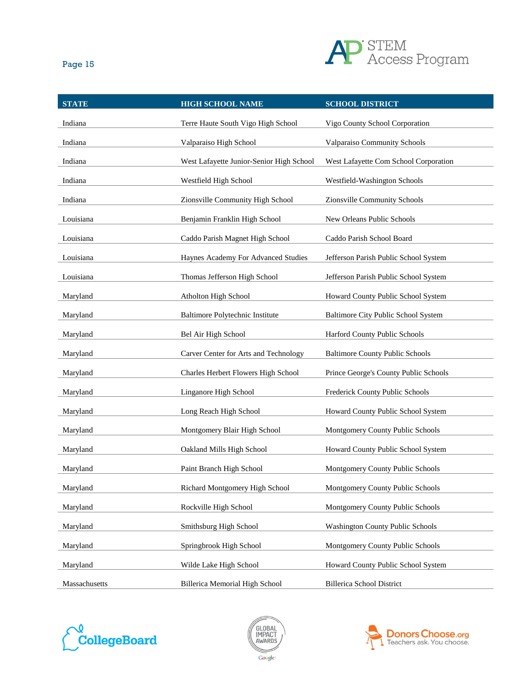

| ×<br>ł | ×<br>۰, |
|--------|---------|
|        |         |

| <b>STATE</b>  | <b>HIGH SCHOOL NAME</b>                  | <b>SCHOOL DISTRICT</b>                  |
|---------------|------------------------------------------|-----------------------------------------|
| Indiana       | Terre Haute South Vigo High School       | Vigo County School Corporation          |
| Indiana       | Valparaiso High School                   | Valparaiso Community Schools            |
| Indiana       | West Lafayette Junior-Senior High School | West Lafayette Com School Corporation   |
| Indiana       | Westfield High School                    | Westfield-Washington Schools            |
| Indiana       | Zionsville Community High School         | Zionsville Community Schools            |
| Louisiana     | Benjamin Franklin High School            | New Orleans Public Schools              |
| Louisiana     | Caddo Parish Magnet High School          | Caddo Parish School Board               |
| Louisiana     | Haynes Academy For Advanced Studies      | Jefferson Parish Public School System   |
| Louisiana     | Thomas Jefferson High School             | Jefferson Parish Public School System   |
| Maryland      | Atholton High School                     | Howard County Public School System      |
| Maryland      | Baltimore Polytechnic Institute          | Baltimore City Public School System     |
| Maryland      | Bel Air High School                      | Harford County Public Schools           |
| Maryland      | Carver Center for Arts and Technology    | <b>Baltimore County Public Schools</b>  |
| Maryland      | Charles Herbert Flowers High School      | Prince George's County Public Schools   |
| Maryland      | Linganore High School                    | Frederick County Public Schools         |
| Maryland      | Long Reach High School                   | Howard County Public School System      |
| Maryland      | Montgomery Blair High School             | Montgomery County Public Schools        |
| Maryland      | Oakland Mills High School                | Howard County Public School System      |
| Maryland      | Paint Branch High School                 | Montgomery County Public Schools        |
| Maryland      | Richard Montgomery High School           | Montgomery County Public Schools        |
| Maryland      | Rockville High School                    | Montgomery County Public Schools        |
| Maryland      | Smithsburg High School                   | <b>Washington County Public Schools</b> |
| Maryland      | Springbrook High School                  | Montgomery County Public Schools        |
| Maryland      | Wilde Lake High School                   | Howard County Public School System      |
| Massachusetts | Billerica Memorial High School           | <b>Billerica School District</b>        |





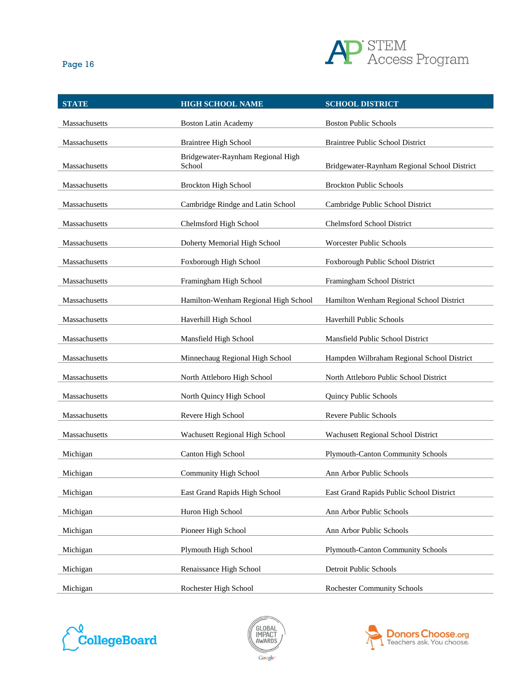

| ×<br>٠ | ×<br>۰, |
|--------|---------|
|        |         |

| <b>STATE</b>  | <b>HIGH SCHOOL NAME</b>                     | <b>SCHOOL DISTRICT</b>                       |
|---------------|---------------------------------------------|----------------------------------------------|
| Massachusetts | <b>Boston Latin Academy</b>                 | <b>Boston Public Schools</b>                 |
| Massachusetts | <b>Braintree High School</b>                | <b>Braintree Public School District</b>      |
| Massachusetts | Bridgewater-Raynham Regional High<br>School | Bridgewater-Raynham Regional School District |
| Massachusetts | <b>Brockton High School</b>                 | <b>Brockton Public Schools</b>               |
| Massachusetts | Cambridge Rindge and Latin School           | Cambridge Public School District             |
| Massachusetts | Chelmsford High School                      | Chelmsford School District                   |
| Massachusetts | Doherty Memorial High School                | <b>Worcester Public Schools</b>              |
| Massachusetts | Foxborough High School                      | Foxborough Public School District            |
| Massachusetts | Framingham High School                      | Framingham School District                   |
| Massachusetts | Hamilton-Wenham Regional High School        | Hamilton Wenham Regional School District     |
| Massachusetts | Haverhill High School                       | <b>Haverhill Public Schools</b>              |
| Massachusetts | Mansfield High School                       | Mansfield Public School District             |
| Massachusetts | Minnechaug Regional High School             | Hampden Wilbraham Regional School District   |
| Massachusetts | North Attleboro High School                 | North Attleboro Public School District       |
| Massachusetts | North Quincy High School                    | Quincy Public Schools                        |
| Massachusetts | Revere High School                          | <b>Revere Public Schools</b>                 |
| Massachusetts | Wachusett Regional High School              | Wachusett Regional School District           |
| Michigan      | Canton High School                          | Plymouth-Canton Community Schools            |
| Michigan      | Community High School                       | Ann Arbor Public Schools                     |
| Michigan      | East Grand Rapids High School               | East Grand Rapids Public School District     |
| Michigan      | Huron High School                           | Ann Arbor Public Schools                     |
| Michigan      | Pioneer High School                         | Ann Arbor Public Schools                     |
| Michigan      | Plymouth High School                        | <b>Plymouth-Canton Community Schools</b>     |
| Michigan      | Renaissance High School                     | Detroit Public Schools                       |
| Michigan      | Rochester High School                       | <b>Rochester Community Schools</b>           |





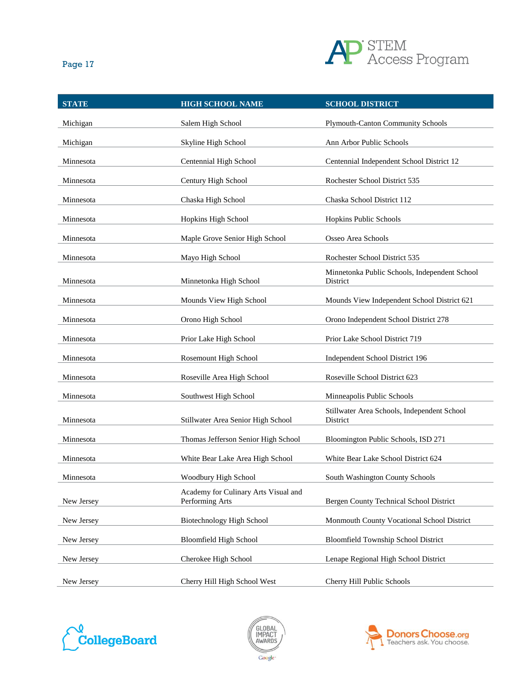

| <b>STATE</b> | <b>HIGH SCHOOL NAME</b>                                 | <b>SCHOOL DISTRICT</b>                                    |
|--------------|---------------------------------------------------------|-----------------------------------------------------------|
| Michigan     | Salem High School                                       | <b>Plymouth-Canton Community Schools</b>                  |
| Michigan     | Skyline High School                                     | Ann Arbor Public Schools                                  |
| Minnesota    | Centennial High School                                  | Centennial Independent School District 12                 |
| Minnesota    | Century High School                                     | Rochester School District 535                             |
| Minnesota    | Chaska High School                                      | Chaska School District 112                                |
| Minnesota    | Hopkins High School                                     | Hopkins Public Schools                                    |
| Minnesota    | Maple Grove Senior High School                          | Osseo Area Schools                                        |
| Minnesota    | Mayo High School                                        | Rochester School District 535                             |
| Minnesota    | Minnetonka High School                                  | Minnetonka Public Schools, Independent School<br>District |
| Minnesota    | Mounds View High School                                 | Mounds View Independent School District 621               |
| Minnesota    | Orono High School                                       | Orono Independent School District 278                     |
| Minnesota    | Prior Lake High School                                  | Prior Lake School District 719                            |
| Minnesota    | Rosemount High School                                   | Independent School District 196                           |
| Minnesota    | Roseville Area High School                              | Roseville School District 623                             |
| Minnesota    | Southwest High School                                   | Minneapolis Public Schools                                |
| Minnesota    | Stillwater Area Senior High School                      | Stillwater Area Schools, Independent School<br>District   |
| Minnesota    | Thomas Jefferson Senior High School                     | Bloomington Public Schools, ISD 271                       |
| Minnesota    | White Bear Lake Area High School                        | White Bear Lake School District 624                       |
| Minnesota    | Woodbury High School                                    | South Washington County Schools                           |
| New Jersey   | Academy for Culinary Arts Visual and<br>Performing Arts | Bergen County Technical School District                   |
| New Jersey   | Biotechnology High School                               | Monmouth County Vocational School District                |
| New Jersey   | <b>Bloomfield High School</b>                           | <b>Bloomfield Township School District</b>                |
| New Jersey   | Cherokee High School                                    | Lenape Regional High School District                      |
| New Jersey   | Cherry Hill High School West                            | Cherry Hill Public Schools                                |





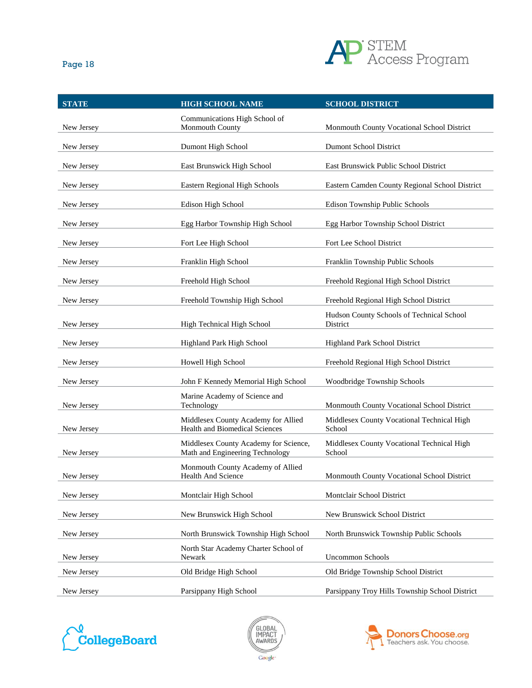

| <b>STATE</b> | <b>HIGH SCHOOL NAME</b>                                                  | <b>SCHOOL DISTRICT</b>                                |
|--------------|--------------------------------------------------------------------------|-------------------------------------------------------|
| New Jersey   | Communications High School of<br>Monmouth County                         | Monmouth County Vocational School District            |
| New Jersey   | Dumont High School                                                       | <b>Dumont School District</b>                         |
| New Jersey   | East Brunswick High School                                               | East Brunswick Public School District                 |
| New Jersey   | Eastern Regional High Schools                                            | Eastern Camden County Regional School District        |
| New Jersey   | Edison High School                                                       | Edison Township Public Schools                        |
| New Jersey   | Egg Harbor Township High School                                          | Egg Harbor Township School District                   |
| New Jersey   | Fort Lee High School                                                     | Fort Lee School District                              |
| New Jersey   | Franklin High School                                                     | Franklin Township Public Schools                      |
| New Jersey   | Freehold High School                                                     | Freehold Regional High School District                |
| New Jersey   | Freehold Township High School                                            | Freehold Regional High School District                |
| New Jersey   | High Technical High School                                               | Hudson County Schools of Technical School<br>District |
| New Jersey   | Highland Park High School                                                | <b>Highland Park School District</b>                  |
| New Jersey   | Howell High School                                                       | Freehold Regional High School District                |
| New Jersey   | John F Kennedy Memorial High School                                      | Woodbridge Township Schools                           |
| New Jersey   | Marine Academy of Science and<br>Technology                              | Monmouth County Vocational School District            |
| New Jersey   | Middlesex County Academy for Allied<br>Health and Biomedical Sciences    | Middlesex County Vocational Technical High<br>School  |
| New Jersey   | Middlesex County Academy for Science,<br>Math and Engineering Technology | Middlesex County Vocational Technical High<br>School  |
| New Jersey   | Monmouth County Academy of Allied<br>Health And Science                  | Monmouth County Vocational School District            |
| New Jersey   | Montclair High School                                                    | Montclair School District                             |
| New Jersey   | New Brunswick High School                                                | New Brunswick School District                         |
| New Jersey   | North Brunswick Township High School                                     | North Brunswick Township Public Schools               |
| New Jersey   | North Star Academy Charter School of<br>Newark                           | <b>Uncommon Schools</b>                               |
| New Jersey   | Old Bridge High School                                                   | Old Bridge Township School District                   |
| New Jersey   | Parsippany High School                                                   | Parsippany Troy Hills Township School District        |





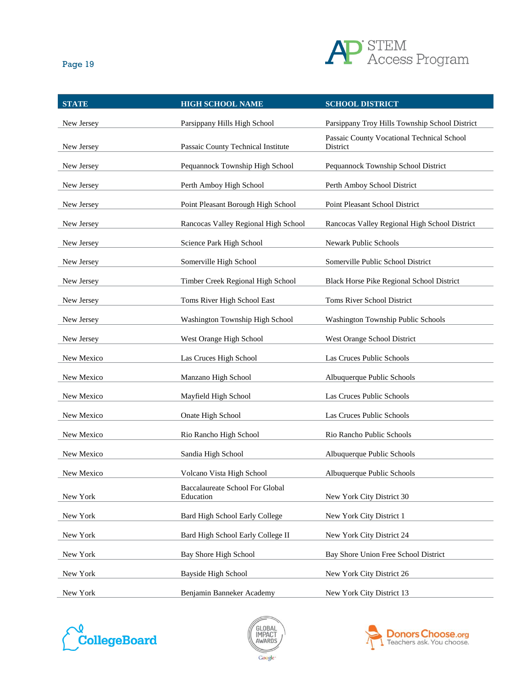

| × | ۰, |
|---|----|

| <b>STATE</b> | <b>HIGH SCHOOL NAME</b>                      | <b>SCHOOL DISTRICT</b>                                 |
|--------------|----------------------------------------------|--------------------------------------------------------|
| New Jersey   | Parsippany Hills High School                 | Parsippany Troy Hills Township School District         |
| New Jersey   | Passaic County Technical Institute           | Passaic County Vocational Technical School<br>District |
| New Jersey   | Pequannock Township High School              | Pequannock Township School District                    |
| New Jersey   | Perth Amboy High School                      | Perth Amboy School District                            |
| New Jersey   | Point Pleasant Borough High School           | Point Pleasant School District                         |
| New Jersey   | Rancocas Valley Regional High School         | Rancocas Valley Regional High School District          |
| New Jersey   | Science Park High School                     | Newark Public Schools                                  |
| New Jersey   | Somerville High School                       | Somerville Public School District                      |
| New Jersey   | Timber Creek Regional High School            | Black Horse Pike Regional School District              |
| New Jersey   | Toms River High School East                  | Toms River School District                             |
| New Jersey   | Washington Township High School              | Washington Township Public Schools                     |
| New Jersey   | West Orange High School                      | West Orange School District                            |
| New Mexico   | Las Cruces High School                       | Las Cruces Public Schools                              |
| New Mexico   | Manzano High School                          | Albuquerque Public Schools                             |
| New Mexico   | Mayfield High School                         | Las Cruces Public Schools                              |
| New Mexico   | Onate High School                            | Las Cruces Public Schools                              |
| New Mexico   | Rio Rancho High School                       | Rio Rancho Public Schools                              |
| New Mexico   | Sandia High School                           | Albuquerque Public Schools                             |
| New Mexico   | Volcano Vista High School                    | Albuquerque Public Schools                             |
| New York     | Baccalaureate School For Global<br>Education | New York City District 30                              |
| New York     | Bard High School Early College               | New York City District 1                               |
| New York     | Bard High School Early College II            | New York City District 24                              |
| New York     | Bay Shore High School                        | Bay Shore Union Free School District                   |
| New York     | Bayside High School                          | New York City District 26                              |
| New York     | Benjamin Banneker Academy                    | New York City District 13                              |





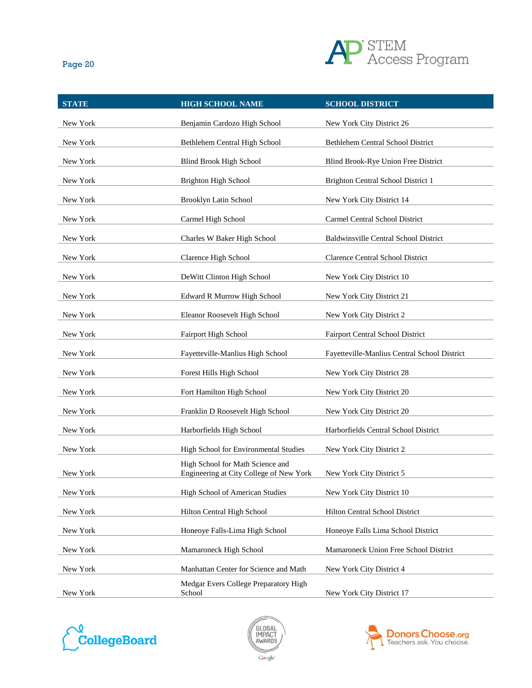

| <b>STATE</b> | <b>HIGH SCHOOL NAME</b>                                                     | <b>SCHOOL DISTRICT</b>                       |
|--------------|-----------------------------------------------------------------------------|----------------------------------------------|
| New York     | Benjamin Cardozo High School                                                | New York City District 26                    |
| New York     | Bethlehem Central High School                                               | Bethlehem Central School District            |
| New York     | Blind Brook High School                                                     | Blind Brook-Rye Union Free District          |
| New York     | Brighton High School                                                        | Brighton Central School District 1           |
| New York     | Brooklyn Latin School                                                       | New York City District 14                    |
| New York     | Carmel High School                                                          | Carmel Central School District               |
| New York     | Charles W Baker High School                                                 | Baldwinsville Central School District        |
| New York     | Clarence High School                                                        | <b>Clarence Central School District</b>      |
| New York     | DeWitt Clinton High School                                                  | New York City District 10                    |
| New York     | Edward R Murrow High School                                                 | New York City District 21                    |
| New York     | Eleanor Roosevelt High School                                               | New York City District 2                     |
| New York     | <b>Fairport High School</b>                                                 | <b>Fairport Central School District</b>      |
| New York     | Fayetteville-Manlius High School                                            | Fayetteville-Manlius Central School District |
| New York     | Forest Hills High School                                                    | New York City District 28                    |
| New York     | Fort Hamilton High School                                                   | New York City District 20                    |
| New York     | Franklin D Roosevelt High School                                            | New York City District 20                    |
| New York     | Harborfields High School                                                    | Harborfields Central School District         |
| New York     | High School for Environmental Studies                                       | New York City District 2                     |
| New York     | High School for Math Science and<br>Engineering at City College of New York | New York City District 5                     |
| New York     | High School of American Studies                                             | New York City District 10                    |
| New York     | Hilton Central High School                                                  | Hilton Central School District               |
| New York     | Honeoye Falls-Lima High School                                              | Honeoye Falls Lima School District           |
| New York     | Mamaroneck High School                                                      | Mamaroneck Union Free School District        |
| New York     | Manhattan Center for Science and Math                                       | New York City District 4                     |
| New York     | Medgar Evers College Preparatory High<br>School                             | New York City District 17                    |
|              |                                                                             |                                              |





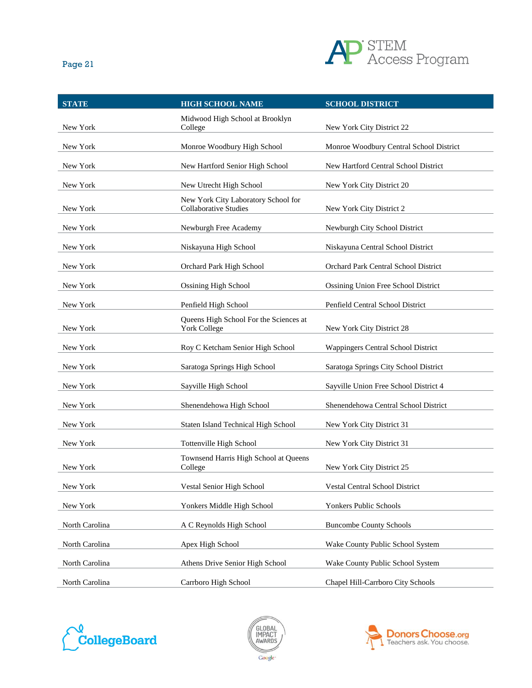

| ×<br>۰. |  |
|---------|--|
|---------|--|

| <b>STATE</b>   | <b>HIGH SCHOOL NAME</b>                                             | <b>SCHOOL DISTRICT</b>                  |
|----------------|---------------------------------------------------------------------|-----------------------------------------|
| New York       | Midwood High School at Brooklyn<br>College                          | New York City District 22               |
| New York       | Monroe Woodbury High School                                         | Monroe Woodbury Central School District |
| New York       | New Hartford Senior High School                                     | New Hartford Central School District    |
| New York       | New Utrecht High School                                             | New York City District 20               |
| New York       | New York City Laboratory School for<br><b>Collaborative Studies</b> | New York City District 2                |
| New York       | Newburgh Free Academy                                               | Newburgh City School District           |
| New York       | Niskayuna High School                                               | Niskayuna Central School District       |
| New York       | Orchard Park High School                                            | Orchard Park Central School District    |
| New York       | <b>Ossining High School</b>                                         | Ossining Union Free School District     |
| New York       | Penfield High School                                                | Penfield Central School District        |
| New York       | Queens High School For the Sciences at<br><b>York College</b>       | New York City District 28               |
| New York       | Roy C Ketcham Senior High School                                    | Wappingers Central School District      |
| New York       | Saratoga Springs High School                                        | Saratoga Springs City School District   |
| New York       | Sayville High School                                                | Sayville Union Free School District 4   |
| New York       | Shenendehowa High School                                            | Shenendehowa Central School District    |
| New York       | Staten Island Technical High School                                 | New York City District 31               |
| New York       | Tottenville High School                                             | New York City District 31               |
| New York       | Townsend Harris High School at Queens<br>College                    | New York City District 25               |
| New York       | Vestal Senior High School                                           | Vestal Central School District          |
| New York       | Yonkers Middle High School                                          | Yonkers Public Schools                  |
| North Carolina | A C Reynolds High School                                            | <b>Buncombe County Schools</b>          |
| North Carolina | Apex High School                                                    | Wake County Public School System        |
| North Carolina | Athens Drive Senior High School                                     | Wake County Public School System        |
| North Carolina | Carrboro High School                                                | Chapel Hill-Carrboro City Schools       |





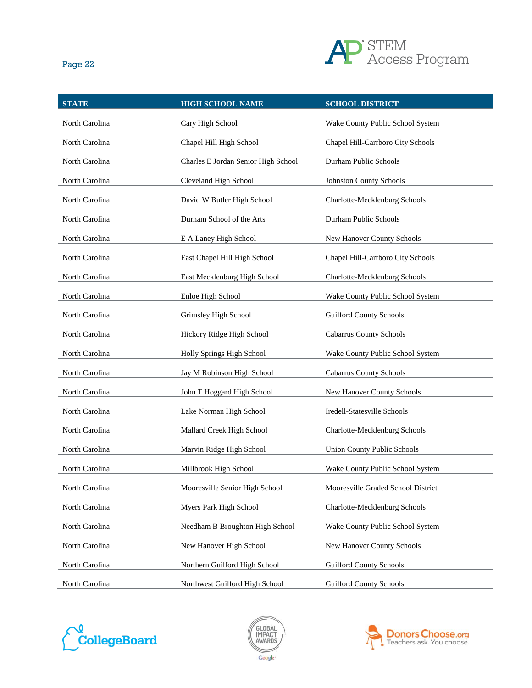

| <b>STATE</b>   | <b>HIGH SCHOOL NAME</b>             | <b>SCHOOL DISTRICT</b>             |
|----------------|-------------------------------------|------------------------------------|
| North Carolina | Cary High School                    | Wake County Public School System   |
| North Carolina | Chapel Hill High School             | Chapel Hill-Carrboro City Schools  |
| North Carolina | Charles E Jordan Senior High School | Durham Public Schools              |
| North Carolina | Cleveland High School               | Johnston County Schools            |
| North Carolina | David W Butler High School          | Charlotte-Mecklenburg Schools      |
| North Carolina | Durham School of the Arts           | Durham Public Schools              |
| North Carolina | E A Laney High School               | New Hanover County Schools         |
| North Carolina | East Chapel Hill High School        | Chapel Hill-Carrboro City Schools  |
| North Carolina | East Mecklenburg High School        | Charlotte-Mecklenburg Schools      |
| North Carolina | Enloe High School                   | Wake County Public School System   |
| North Carolina | Grimsley High School                | <b>Guilford County Schools</b>     |
| North Carolina | Hickory Ridge High School           | <b>Cabarrus County Schools</b>     |
| North Carolina | Holly Springs High School           | Wake County Public School System   |
| North Carolina | Jay M Robinson High School          | <b>Cabarrus County Schools</b>     |
| North Carolina | John T Hoggard High School          | New Hanover County Schools         |
| North Carolina | Lake Norman High School             | Iredell-Statesville Schools        |
| North Carolina | Mallard Creek High School           | Charlotte-Mecklenburg Schools      |
| North Carolina | Marvin Ridge High School            | <b>Union County Public Schools</b> |
| North Carolina | Millbrook High School               | Wake County Public School System   |
| North Carolina | Mooresville Senior High School      | Mooresville Graded School District |
| North Carolina | Myers Park High School              | Charlotte-Mecklenburg Schools      |
| North Carolina | Needham B Broughton High School     | Wake County Public School System   |
| North Carolina | New Hanover High School             | New Hanover County Schools         |
| North Carolina | Northern Guilford High School       | <b>Guilford County Schools</b>     |
| North Carolina | Northwest Guilford High School      | <b>Guilford County Schools</b>     |





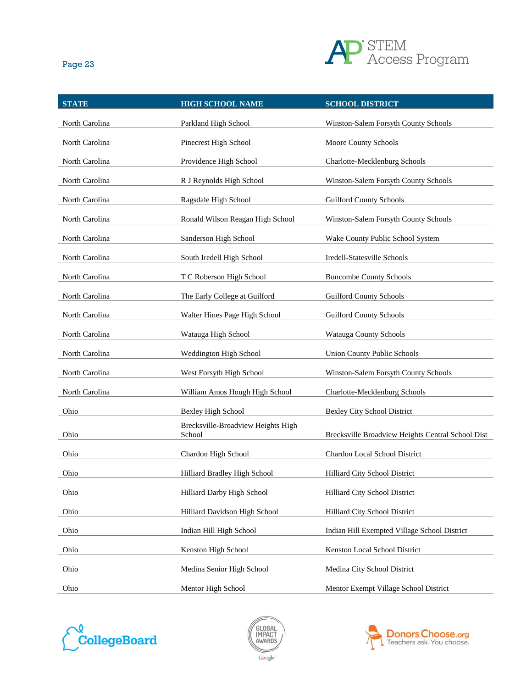

| <b>STATE</b>   | <b>HIGH SCHOOL NAME</b>                      | <b>SCHOOL DISTRICT</b>                            |
|----------------|----------------------------------------------|---------------------------------------------------|
| North Carolina | Parkland High School                         | Winston-Salem Forsyth County Schools              |
| North Carolina | Pinecrest High School                        | Moore County Schools                              |
| North Carolina | Providence High School                       | Charlotte-Mecklenburg Schools                     |
| North Carolina | R J Reynolds High School                     | Winston-Salem Forsyth County Schools              |
| North Carolina | Ragsdale High School                         | <b>Guilford County Schools</b>                    |
| North Carolina | Ronald Wilson Reagan High School             | Winston-Salem Forsyth County Schools              |
| North Carolina | Sanderson High School                        | Wake County Public School System                  |
| North Carolina | South Iredell High School                    | Iredell-Statesville Schools                       |
| North Carolina | T C Roberson High School                     | <b>Buncombe County Schools</b>                    |
| North Carolina | The Early College at Guilford                | <b>Guilford County Schools</b>                    |
| North Carolina | Walter Hines Page High School                | <b>Guilford County Schools</b>                    |
| North Carolina | Watauga High School                          | Watauga County Schools                            |
| North Carolina | Weddington High School                       | <b>Union County Public Schools</b>                |
| North Carolina | West Forsyth High School                     | Winston-Salem Forsyth County Schools              |
| North Carolina | William Amos Hough High School               | Charlotte-Mecklenburg Schools                     |
| Ohio           | Bexley High School                           | <b>Bexley City School District</b>                |
| Ohio           | Brecksville-Broadview Heights High<br>School | Brecksville Broadview Heights Central School Dist |
| Ohio           | Chardon High School                          | Chardon Local School District                     |
| Ohio           | Hilliard Bradley High School                 | Hilliard City School District                     |
| Ohio           | Hilliard Darby High School                   | Hilliard City School District                     |
| Ohio           | Hilliard Davidson High School                | Hilliard City School District                     |
| Ohio           | Indian Hill High School                      | Indian Hill Exempted Village School District      |
| Ohio           | Kenston High School                          | Kenston Local School District                     |
| Ohio           | Medina Senior High School                    | Medina City School District                       |
| Ohio           | Mentor High School                           | Mentor Exempt Village School District             |





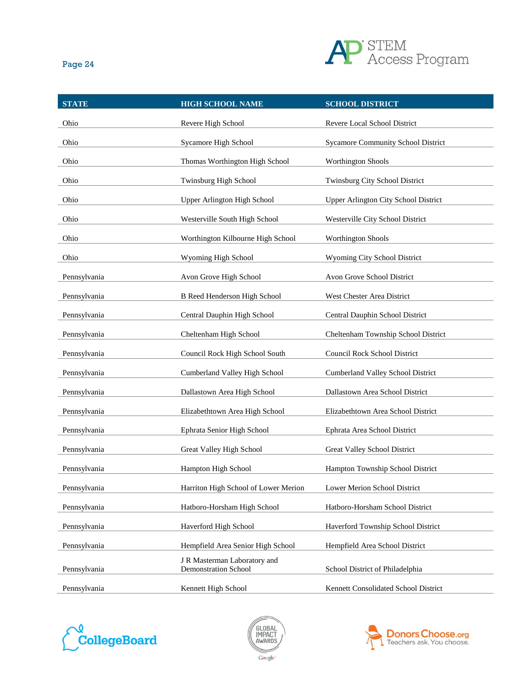

|--|--|

| <b>STATE</b> | <b>HIGH SCHOOL NAME</b>              | <b>SCHOOL DISTRICT</b>                    |
|--------------|--------------------------------------|-------------------------------------------|
| Ohio         | Revere High School                   | Revere Local School District              |
| Ohio         | Sycamore High School                 | <b>Sycamore Community School District</b> |
| Ohio         | Thomas Worthington High School       | <b>Worthington Shools</b>                 |
| Ohio         | Twinsburg High School                | Twinsburg City School District            |
| Ohio         | Upper Arlington High School          | Upper Arlington City School District      |
| Ohio         | Westerville South High School        | Westerville City School District          |
| Ohio         | Worthington Kilbourne High School    | <b>Worthington Shools</b>                 |
| Ohio         | Wyoming High School                  | Wyoming City School District              |
| Pennsylvania | Avon Grove High School               | Avon Grove School District                |
| Pennsylvania | <b>B</b> Reed Henderson High School  | West Chester Area District                |
| Pennsylvania | Central Dauphin High School          | Central Dauphin School District           |
| Pennsylvania | Cheltenham High School               | Cheltenham Township School District       |
| Pennsylvania | Council Rock High School South       | Council Rock School District              |
| Pennsylvania | Cumberland Valley High School        | Cumberland Valley School District         |
| Pennsylvania | Dallastown Area High School          | Dallastown Area School District           |
| Pennsylvania | Elizabethtown Area High School       | Elizabethtown Area School District        |
| Pennsylvania | Ephrata Senior High School           | Ephrata Area School District              |
| Pennsylvania | Great Valley High School             | Great Valley School District              |
| Pennsylvania | Hampton High School                  | Hampton Township School District          |
| Pennsylvania | Harriton High School of Lower Merion | Lower Merion School District              |
| Pennsylvania | Hatboro-Horsham High School          | Hatboro-Horsham School District           |
| Pennsylvania | Haverford High School                | Haverford Township School District        |
| Pennsylvania | Hempfield Area Senior High School    | Hempfield Area School District            |
|              | J R Masterman Laboratory and         |                                           |
| Pennsylvania | <b>Demonstration School</b>          | School District of Philadelphia           |
| Pennsylvania | Kennett High School                  | Kennett Consolidated School District      |





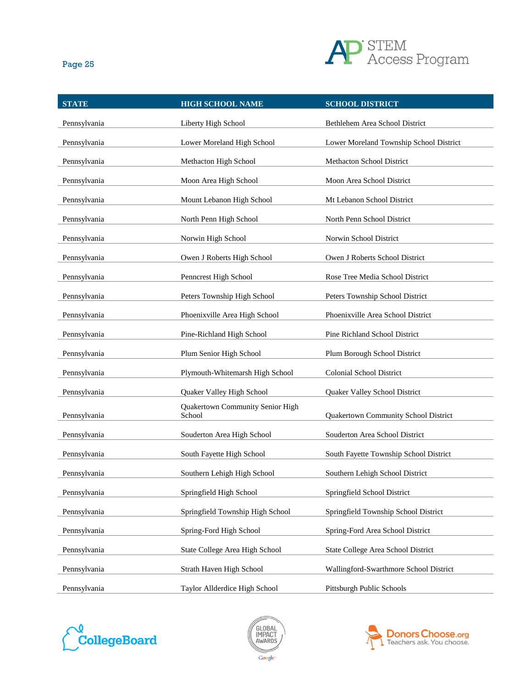

| <b>STATE</b> | <b>HIGH SCHOOL NAME</b>                    | <b>SCHOOL DISTRICT</b>                  |
|--------------|--------------------------------------------|-----------------------------------------|
| Pennsylvania | Liberty High School                        | Bethlehem Area School District          |
| Pennsylvania | Lower Moreland High School                 | Lower Moreland Township School District |
| Pennsylvania | Methacton High School                      | Methacton School District               |
| Pennsylvania | Moon Area High School                      | Moon Area School District               |
| Pennsylvania | Mount Lebanon High School                  | Mt Lebanon School District              |
| Pennsylvania | North Penn High School                     | North Penn School District              |
| Pennsylvania | Norwin High School                         | Norwin School District                  |
| Pennsylvania | Owen J Roberts High School                 | Owen J Roberts School District          |
| Pennsylvania | Penncrest High School                      | Rose Tree Media School District         |
| Pennsylvania | Peters Township High School                | Peters Township School District         |
| Pennsylvania | Phoenixville Area High School              | Phoenixville Area School District       |
| Pennsylvania | Pine-Richland High School                  | Pine Richland School District           |
| Pennsylvania | Plum Senior High School                    | Plum Borough School District            |
| Pennsylvania | Plymouth-Whitemarsh High School            | <b>Colonial School District</b>         |
| Pennsylvania | Quaker Valley High School                  | Quaker Valley School District           |
| Pennsylvania | Quakertown Community Senior High<br>School | Quakertown Community School District    |
| Pennsylvania | Souderton Area High School                 | Souderton Area School District          |
| Pennsylvania | South Fayette High School                  | South Fayette Township School District  |
| Pennsylvania | Southern Lehigh High School                | Southern Lehigh School District         |
| Pennsylvania | Springfield High School                    | Springfield School District             |
| Pennsylvania | Springfield Township High School           | Springfield Township School District    |
| Pennsylvania | Spring-Ford High School                    | Spring-Ford Area School District        |
| Pennsylvania | State College Area High School             | State College Area School District      |
| Pennsylvania | Strath Haven High School                   | Wallingford-Swarthmore School District  |
| Pennsylvania | Taylor Allderdice High School              | Pittsburgh Public Schools               |





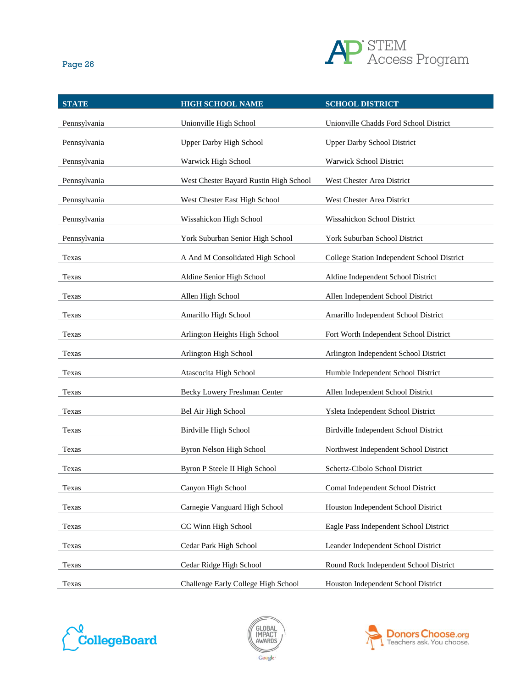

| <b>STATE</b> | <b>HIGH SCHOOL NAME</b>                | <b>SCHOOL DISTRICT</b>                      |
|--------------|----------------------------------------|---------------------------------------------|
| Pennsylvania | Unionville High School                 | Unionville Chadds Ford School District      |
| Pennsylvania | <b>Upper Darby High School</b>         | <b>Upper Darby School District</b>          |
| Pennsylvania | Warwick High School                    | Warwick School District                     |
| Pennsylvania | West Chester Bayard Rustin High School | West Chester Area District                  |
| Pennsylvania | West Chester East High School          | West Chester Area District                  |
| Pennsylvania | Wissahickon High School                | Wissahickon School District                 |
| Pennsylvania | York Suburban Senior High School       | York Suburban School District               |
| Texas        | A And M Consolidated High School       | College Station Independent School District |
| Texas        | Aldine Senior High School              | Aldine Independent School District          |
| Texas        | Allen High School                      | Allen Independent School District           |
| Texas        | Amarillo High School                   | Amarillo Independent School District        |
| Texas        | Arlington Heights High School          | Fort Worth Independent School District      |
| Texas        | Arlington High School                  | Arlington Independent School District       |
| Texas        | Atascocita High School                 | Humble Independent School District          |
| Texas        | Becky Lowery Freshman Center           | Allen Independent School District           |
| Texas        | Bel Air High School                    | Ysleta Independent School District          |
| Texas        | Birdville High School                  | Birdville Independent School District       |
| Texas        | Byron Nelson High School               | Northwest Independent School District       |
| Texas        | Byron P Steele II High School          | Schertz-Cibolo School District              |
| Texas        | Canyon High School                     | Comal Independent School District           |
| Texas        | Carnegie Vanguard High School          | Houston Independent School District         |
| Texas        | CC Winn High School                    | Eagle Pass Independent School District      |
| Texas        | Cedar Park High School                 | Leander Independent School District         |
| Texas        | Cedar Ridge High School                | Round Rock Independent School District      |
| Texas        | Challenge Early College High School    | Houston Independent School District         |





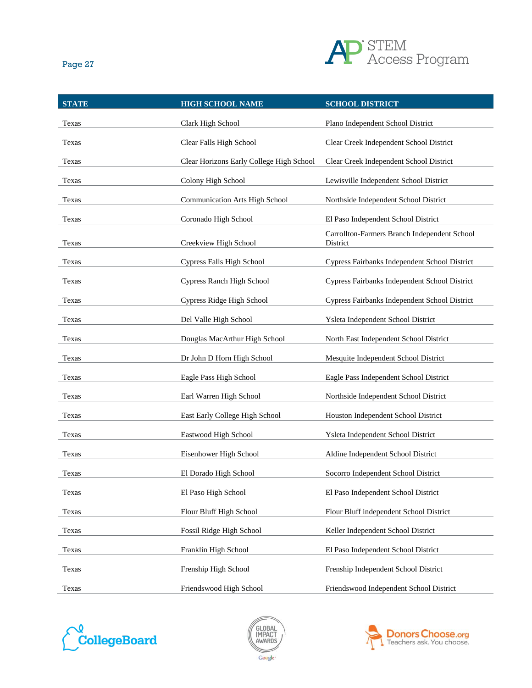

| <b>STATE</b> | <b>HIGH SCHOOL NAME</b>                  | <b>SCHOOL DISTRICT</b>                                   |
|--------------|------------------------------------------|----------------------------------------------------------|
| Texas        | Clark High School                        | Plano Independent School District                        |
| Texas        | Clear Falls High School                  | Clear Creek Independent School District                  |
| Texas        | Clear Horizons Early College High School | Clear Creek Independent School District                  |
| Texas        | Colony High School                       | Lewisville Independent School District                   |
| Texas        | <b>Communication Arts High School</b>    | Northside Independent School District                    |
| Texas        | Coronado High School                     | El Paso Independent School District                      |
| Texas        | Creekview High School                    | Carrollton-Farmers Branch Independent School<br>District |
| Texas        | <b>Cypress Falls High School</b>         | Cypress Fairbanks Independent School District            |
| Texas        | Cypress Ranch High School                | Cypress Fairbanks Independent School District            |
| Texas        | Cypress Ridge High School                | Cypress Fairbanks Independent School District            |
| Texas        | Del Valle High School                    | Ysleta Independent School District                       |
| Texas        | Douglas MacArthur High School            | North East Independent School District                   |
| Texas        | Dr John D Horn High School               | Mesquite Independent School District                     |
| Texas        | Eagle Pass High School                   | Eagle Pass Independent School District                   |
| Texas        | Earl Warren High School                  | Northside Independent School District                    |
| Texas        | East Early College High School           | Houston Independent School District                      |
| Texas        | Eastwood High School                     | Ysleta Independent School District                       |
| Texas        | Eisenhower High School                   | Aldine Independent School District                       |
| Texas        | El Dorado High School                    | Socorro Independent School District                      |
| Texas        | El Paso High School                      | El Paso Independent School District                      |
| Texas        | Flour Bluff High School                  | Flour Bluff independent School District                  |
| Texas        | Fossil Ridge High School                 | Keller Independent School District                       |
| Texas        | Franklin High School                     | El Paso Independent School District                      |
| Texas        | Frenship High School                     | Frenship Independent School District                     |
| Texas        | Friendswood High School                  | Friendswood Independent School District                  |





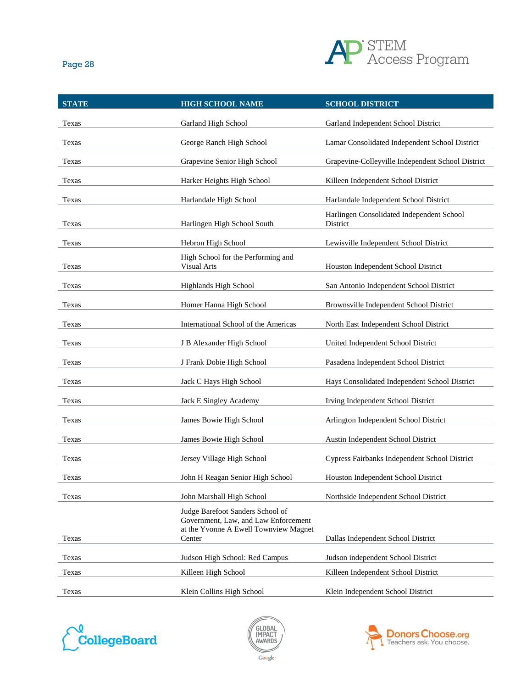

| <b>STATE</b> | <b>HIGH SCHOOL NAME</b>                                                                                           | <b>SCHOOL DISTRICT</b>                                |
|--------------|-------------------------------------------------------------------------------------------------------------------|-------------------------------------------------------|
| Texas        | Garland High School                                                                                               | Garland Independent School District                   |
| Texas        | George Ranch High School                                                                                          | Lamar Consolidated Independent School District        |
| Texas        | Grapevine Senior High School                                                                                      | Grapevine-Colleyville Independent School District     |
| Texas        | Harker Heights High School                                                                                        | Killeen Independent School District                   |
| Texas        | Harlandale High School                                                                                            | Harlandale Independent School District                |
| Texas        | Harlingen High School South                                                                                       | Harlingen Consolidated Independent School<br>District |
| Texas        | Hebron High School                                                                                                | Lewisville Independent School District                |
| Texas        | High School for the Performing and<br>Visual Arts                                                                 | Houston Independent School District                   |
| Texas        | Highlands High School                                                                                             | San Antonio Independent School District               |
| Texas        | Homer Hanna High School                                                                                           | Brownsville Independent School District               |
| Texas        | International School of the Americas                                                                              | North East Independent School District                |
| Texas        | J B Alexander High School                                                                                         | United Independent School District                    |
| Texas        | J Frank Dobie High School                                                                                         | Pasadena Independent School District                  |
| Texas        | Jack C Hays High School                                                                                           | Hays Consolidated Independent School District         |
| Texas        | Jack E Singley Academy                                                                                            | Irving Independent School District                    |
| Texas        | James Bowie High School                                                                                           | Arlington Independent School District                 |
| Texas        | James Bowie High School                                                                                           | Austin Independent School District                    |
| Texas        | Jersey Village High School                                                                                        | Cypress Fairbanks Independent School District         |
| Texas        | John H Reagan Senior High School                                                                                  | Houston Independent School District                   |
| Texas        | John Marshall High School                                                                                         | Northside Independent School District                 |
|              | Judge Barefoot Sanders School of<br>Government, Law, and Law Enforcement<br>at the Yvonne A Ewell Townview Magnet |                                                       |
| Texas        | Center                                                                                                            | Dallas Independent School District                    |
| Texas        | Judson High School: Red Campus                                                                                    | Judson independent School District                    |
| Texas        | Killeen High School                                                                                               | Killeen Independent School District                   |
| Texas        | Klein Collins High School                                                                                         | Klein Independent School District                     |





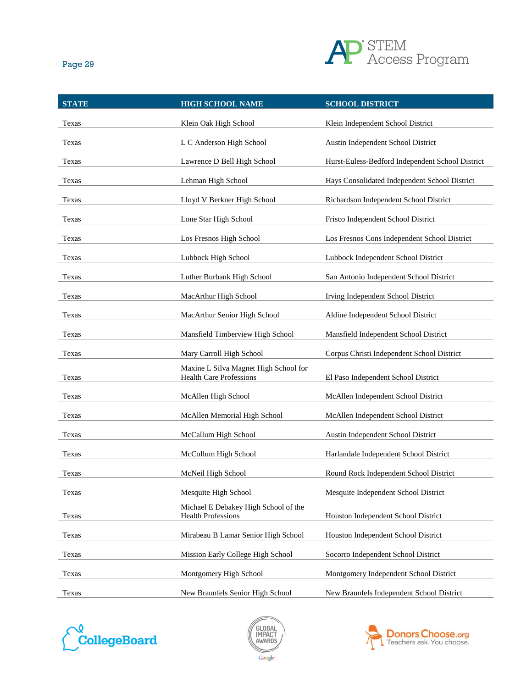

| <b>STATE</b> | <b>HIGH SCHOOL NAME</b>                                                 | <b>SCHOOL DISTRICT</b>                           |
|--------------|-------------------------------------------------------------------------|--------------------------------------------------|
| Texas        | Klein Oak High School                                                   | Klein Independent School District                |
| Texas        | L C Anderson High School                                                | Austin Independent School District               |
| Texas        | Lawrence D Bell High School                                             | Hurst-Euless-Bedford Independent School District |
| Texas        | Lehman High School                                                      | Hays Consolidated Independent School District    |
| Texas        | Lloyd V Berkner High School                                             | Richardson Independent School District           |
| Texas        | Lone Star High School                                                   | Frisco Independent School District               |
| Texas        | Los Fresnos High School                                                 | Los Fresnos Cons Independent School District     |
| Texas        | Lubbock High School                                                     | Lubbock Independent School District              |
| Texas        | Luther Burbank High School                                              | San Antonio Independent School District          |
| Texas        | MacArthur High School                                                   | Irving Independent School District               |
| Texas        | MacArthur Senior High School                                            | Aldine Independent School District               |
| Texas        | Mansfield Timberview High School                                        | Mansfield Independent School District            |
| Texas        | Mary Carroll High School                                                | Corpus Christi Independent School District       |
| Texas        | Maxine L Silva Magnet High School for<br><b>Health Care Professions</b> | El Paso Independent School District              |
| Texas        | McAllen High School                                                     | McAllen Independent School District              |
| Texas        | McAllen Memorial High School                                            | McAllen Independent School District              |
| Texas        | McCallum High School                                                    | Austin Independent School District               |
| Texas        | McCollum High School                                                    | Harlandale Independent School District           |
| Texas        | McNeil High School                                                      | Round Rock Independent School District           |
| Texas        | Mesquite High School                                                    | Mesquite Independent School District             |
| Texas        | Michael E Debakey High School of the<br><b>Health Professions</b>       | Houston Independent School District              |
| Texas        | Mirabeau B Lamar Senior High School                                     | Houston Independent School District              |
| Texas        | Mission Early College High School                                       | Socorro Independent School District              |
| Texas        | Montgomery High School                                                  | Montgomery Independent School District           |
| Texas        | New Braunfels Senior High School                                        | New Braunfels Independent School District        |





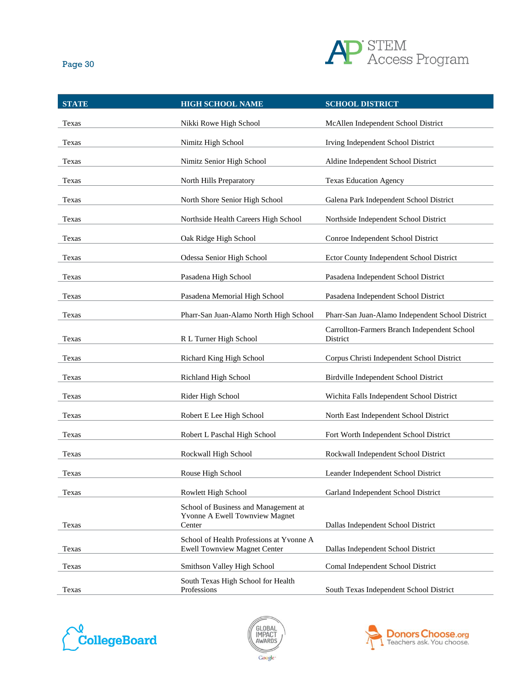

| <b>STATE</b> | <b>HIGH SCHOOL NAME</b>                                                          | <b>SCHOOL DISTRICT</b>                                   |
|--------------|----------------------------------------------------------------------------------|----------------------------------------------------------|
| Texas        | Nikki Rowe High School                                                           | McAllen Independent School District                      |
| Texas        | Nimitz High School                                                               | Irving Independent School District                       |
| Texas        | Nimitz Senior High School                                                        | Aldine Independent School District                       |
| Texas        | North Hills Preparatory                                                          | <b>Texas Education Agency</b>                            |
| Texas        | North Shore Senior High School                                                   | Galena Park Independent School District                  |
| Texas        | Northside Health Careers High School                                             | Northside Independent School District                    |
| Texas        | Oak Ridge High School                                                            | Conroe Independent School District                       |
| Texas        | Odessa Senior High School                                                        | Ector County Independent School District                 |
| Texas        | Pasadena High School                                                             | Pasadena Independent School District                     |
| Texas        | Pasadena Memorial High School                                                    | Pasadena Independent School District                     |
| Texas        | Pharr-San Juan-Alamo North High School                                           | Pharr-San Juan-Alamo Independent School District         |
| Texas        | R L Turner High School                                                           | Carrollton-Farmers Branch Independent School<br>District |
| Texas        | Richard King High School                                                         | Corpus Christi Independent School District               |
| Texas        | Richland High School                                                             | Birdville Independent School District                    |
| Texas        | Rider High School                                                                | Wichita Falls Independent School District                |
| Texas        | Robert E Lee High School                                                         | North East Independent School District                   |
| Texas        | Robert L Paschal High School                                                     | Fort Worth Independent School District                   |
| Texas        | Rockwall High School                                                             | Rockwall Independent School District                     |
| Texas        | Rouse High School                                                                | Leander Independent School District                      |
| Texas        | Rowlett High School                                                              | Garland Independent School District                      |
| Texas        | School of Business and Management at<br>Yvonne A Ewell Townview Magnet<br>Center | Dallas Independent School District                       |
| Texas        | School of Health Professions at Yvonne A<br><b>Ewell Townview Magnet Center</b>  | Dallas Independent School District                       |
| Texas        | Smithson Valley High School                                                      | Comal Independent School District                        |
| Texas        | South Texas High School for Health<br>Professions                                | South Texas Independent School District                  |





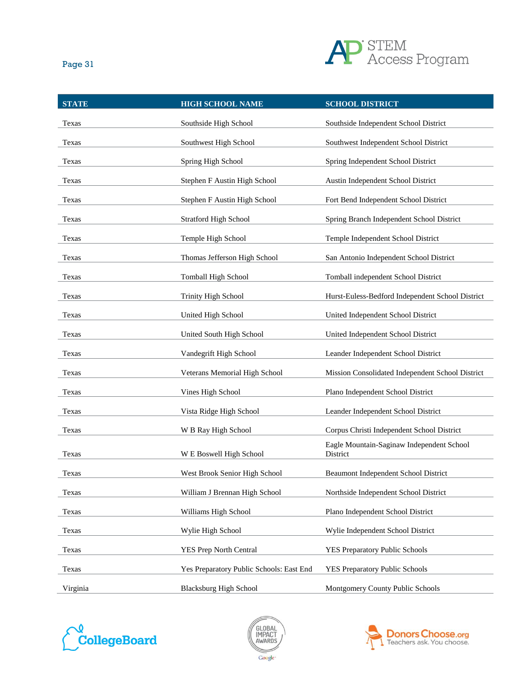

| × | ٠ |
|---|---|
|   |   |

| <b>STATE</b> | <b>HIGH SCHOOL NAME</b>                  | <b>SCHOOL DISTRICT</b>                                |
|--------------|------------------------------------------|-------------------------------------------------------|
| Texas        | Southside High School                    | Southside Independent School District                 |
| Texas        | Southwest High School                    | Southwest Independent School District                 |
| Texas        | Spring High School                       | Spring Independent School District                    |
| Texas        | Stephen F Austin High School             | Austin Independent School District                    |
| Texas        | Stephen F Austin High School             | Fort Bend Independent School District                 |
| Texas        | <b>Stratford High School</b>             | Spring Branch Independent School District             |
| Texas        | Temple High School                       | Temple Independent School District                    |
| Texas        | Thomas Jefferson High School             | San Antonio Independent School District               |
| Texas        | Tomball High School                      | Tomball independent School District                   |
| Texas        | <b>Trinity High School</b>               | Hurst-Euless-Bedford Independent School District      |
| Texas        | United High School                       | United Independent School District                    |
| Texas        | United South High School                 | United Independent School District                    |
| Texas        | Vandegrift High School                   | Leander Independent School District                   |
| Texas        | Veterans Memorial High School            | Mission Consolidated Independent School District      |
| Texas        | Vines High School                        | Plano Independent School District                     |
| Texas        | Vista Ridge High School                  | Leander Independent School District                   |
| Texas        | W B Ray High School                      | Corpus Christi Independent School District            |
| Texas        | W E Boswell High School                  | Eagle Mountain-Saginaw Independent School<br>District |
| Texas        | West Brook Senior High School            | <b>Beaumont Independent School District</b>           |
| Texas        | William J Brennan High School            | Northside Independent School District                 |
| Texas        | Williams High School                     | Plano Independent School District                     |
| Texas        | Wylie High School                        | Wylie Independent School District                     |
| Texas        | YES Prep North Central                   | YES Preparatory Public Schools                        |
| Texas        | Yes Preparatory Public Schools: East End | YES Preparatory Public Schools                        |
| Virginia     | <b>Blacksburg High School</b>            | Montgomery County Public Schools                      |





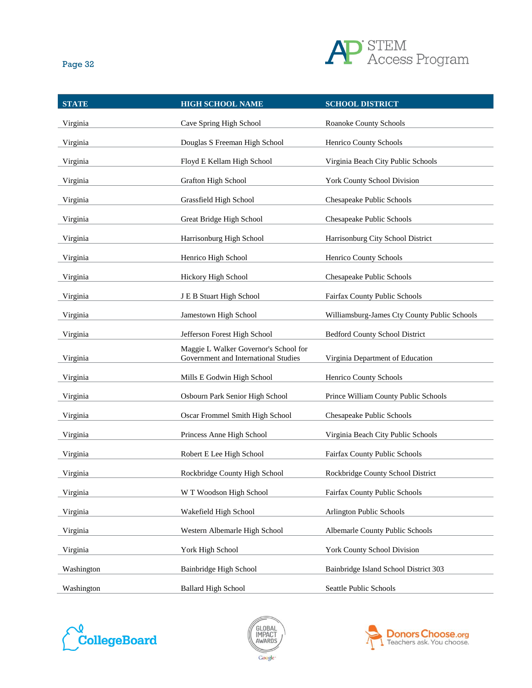

| <b>STATE</b> | <b>HIGH SCHOOL NAME</b>                                                       | <b>SCHOOL DISTRICT</b>                       |
|--------------|-------------------------------------------------------------------------------|----------------------------------------------|
| Virginia     | Cave Spring High School                                                       | Roanoke County Schools                       |
| Virginia     | Douglas S Freeman High School                                                 | Henrico County Schools                       |
| Virginia     | Floyd E Kellam High School                                                    | Virginia Beach City Public Schools           |
| Virginia     | Grafton High School                                                           | York County School Division                  |
| Virginia     | Grassfield High School                                                        | Chesapeake Public Schools                    |
| Virginia     | Great Bridge High School                                                      | Chesapeake Public Schools                    |
| Virginia     | Harrisonburg High School                                                      | Harrisonburg City School District            |
| Virginia     | Henrico High School                                                           | Henrico County Schools                       |
| Virginia     | Hickory High School                                                           | Chesapeake Public Schools                    |
| Virginia     | J E B Stuart High School                                                      | Fairfax County Public Schools                |
| Virginia     | Jamestown High School                                                         | Williamsburg-James Cty County Public Schools |
| Virginia     | Jefferson Forest High School                                                  | <b>Bedford County School District</b>        |
| Virginia     | Maggie L Walker Governor's School for<br>Government and International Studies | Virginia Department of Education             |
| Virginia     | Mills E Godwin High School                                                    | Henrico County Schools                       |
| Virginia     | Osbourn Park Senior High School                                               | Prince William County Public Schools         |
| Virginia     | Oscar Frommel Smith High School                                               | Chesapeake Public Schools                    |
| Virginia     | Princess Anne High School                                                     | Virginia Beach City Public Schools           |
| Virginia     | Robert E Lee High School                                                      | Fairfax County Public Schools                |
| Virginia     | Rockbridge County High School                                                 | Rockbridge County School District            |
| Virginia     | W T Woodson High School                                                       | Fairfax County Public Schools                |
| Virginia     | Wakefield High School                                                         | Arlington Public Schools                     |
| Virginia     | Western Albemarle High School                                                 | Albemarle County Public Schools              |
| Virginia     | York High School                                                              | York County School Division                  |
| Washington   | Bainbridge High School                                                        | Bainbridge Island School District 303        |
| Washington   | <b>Ballard High School</b>                                                    | Seattle Public Schools                       |





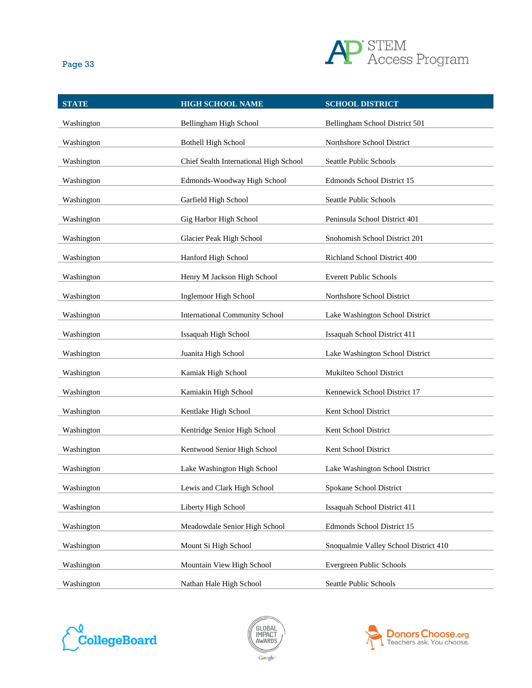

| <b>STATE</b> | <b>HIGH SCHOOL NAME</b>                | <b>SCHOOL DISTRICT</b>                |
|--------------|----------------------------------------|---------------------------------------|
| Washington   | Bellingham High School                 | Bellingham School District 501        |
| Washington   | <b>Bothell High School</b>             | Northshore School District            |
| Washington   | Chief Sealth International High School | Seattle Public Schools                |
| Washington   | Edmonds-Woodway High School            | Edmonds School District 15            |
| Washington   | Garfield High School                   | Seattle Public Schools                |
| Washington   | Gig Harbor High School                 | Peninsula School District 401         |
| Washington   | Glacier Peak High School               | Snohomish School District 201         |
| Washington   | Hanford High School                    | Richland School District 400          |
| Washington   | Henry M Jackson High School            | <b>Everett Public Schools</b>         |
| Washington   | Inglemoor High School                  | Northshore School District            |
| Washington   | <b>International Community School</b>  | Lake Washington School District       |
| Washington   | Issaquah High School                   | Issaquah School District 411          |
| Washington   | Juanita High School                    | Lake Washington School District       |
| Washington   | Kamiak High School                     | Mukilteo School District              |
| Washington   | Kamiakin High School                   | Kennewick School District 17          |
| Washington   | Kentlake High School                   | Kent School District                  |
| Washington   | Kentridge Senior High School           | Kent School District                  |
| Washington   | Kentwood Senior High School            | Kent School District                  |
| Washington   | Lake Washington High School            | Lake Washington School District       |
| Washington   | Lewis and Clark High School            | Spokane School District               |
| Washington   | Liberty High School                    | Issaquah School District 411          |
| Washington   | Meadowdale Senior High School          | Edmonds School District 15            |
| Washington   | Mount Si High School                   | Snoqualmie Valley School District 410 |
| Washington   | Mountain View High School              | Evergreen Public Schools              |
| Washington   | Nathan Hale High School                | Seattle Public Schools                |